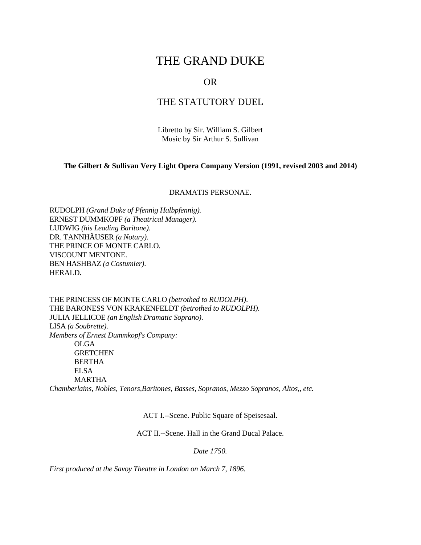# THE GRAND DUKE

#### OR

## THE STATUTORY DUEL

Libretto by Sir. William S. Gilbert Music by Sir Arthur S. Sullivan

#### **The Gilbert & Sullivan Very Light Opera Company Version (1991, revised 2003 and 2014)**

#### DRAMATIS PERSONAE.

RUDOLPH *(Grand Duke of Pfennig Halbpfennig).* ERNEST DUMMKOPF *(a Theatrical Manager)*. LUDWIG *(his Leading Baritone)*. DR. TANNHÄUSER *(a Notary)*. THE PRINCE OF MONTE CARLO. VISCOUNT MENTONE. BEN HASHBAZ *(a Costumier)*. HERALD.

THE PRINCESS OF MONTE CARLO *(betrothed to RUDOLPH)*. THE BARONESS VON KRAKENFELDT *(betrothed to RUDOLPH)*. JULIA JELLICOE *(an English Dramatic Soprano)*. LISA *(a Soubrette)*. *Members of Ernest Dummkopf's Company:* OLGA **GRETCHEN** BERTHA ELSA MARTHA *Chamberlains, Nobles, Tenors,Baritones, Basses, Sopranos, Mezzo Sopranos, Altos,, etc.*

ACT I.--Scene. Public Square of Speisesaal.

ACT II.--Scene. Hall in the Grand Ducal Palace.

*Date 1750.*

*First produced at the Savoy Theatre in London on March 7, 1896.*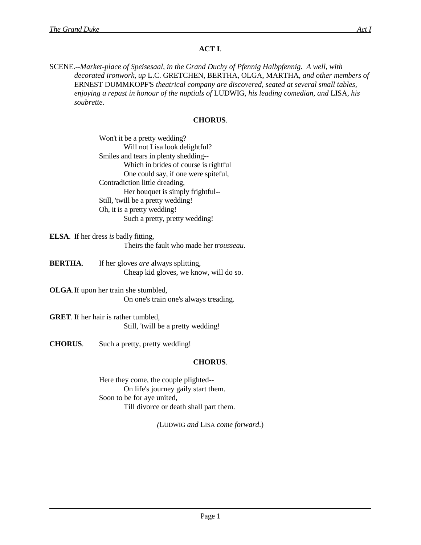## **ACT I**.

SCENE.--*Market-place of Speisesaal, in the Grand Duchy of Pfennig Halbpfennig. A well, with decorated ironwork, up* L.C. GRETCHEN, BERTHA, OLGA, MARTHA, *and other members of* ERNEST DUMMKOPF'S *theatrical company are discovered, seated at several small tables, enjoying a repast in honour of the nuptials of* LUDWIG, *his leading comedian, and* LISA, *his soubrette*.

#### **CHORUS**.

Won't it be a pretty wedding? Will not Lisa look delightful? Smiles and tears in plenty shedding-- Which in brides of course is rightful One could say, if one were spiteful, Contradiction little dreading, Her bouquet is simply frightful-- Still, 'twill be a pretty wedding! Oh, it is a pretty wedding! Such a pretty, pretty wedding!

**ELSA**. If her dress *is* badly fitting, Theirs the fault who made her *trousseau*.

**BERTHA**. If her gloves *are* always splitting, Cheap kid gloves, we know, will do so.

**OLGA**.If upon her train she stumbled, On one's train one's always treading.

**GRET**. If her hair is rather tumbled, Still, 'twill be a pretty wedding!

**CHORUS**. Such a pretty, pretty wedding!

#### **CHORUS**.

Here they come, the couple plighted-- On life's journey gaily start them. Soon to be for aye united, Till divorce or death shall part them.

*(*LUDWIG *and* LISA *come forward*.)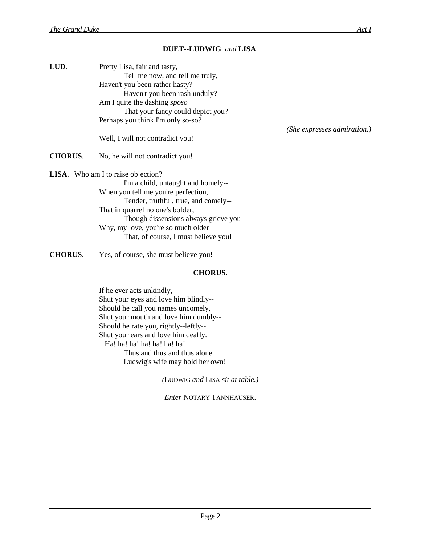*(She expresses admiration.)*

## **DUET--LUDWIG**. *and* **LISA**.

| LUD. | Pretty Lisa, fair and tasty,        |
|------|-------------------------------------|
|      | Tell me now, and tell me truly,     |
|      | Haven't you been rather hasty?      |
|      | Haven't you been rash unduly?       |
|      | Am I quite the dashing <i>sposo</i> |
|      | That your fancy could depict you?   |
|      | Perhaps you think I'm only so-so?   |
|      |                                     |

Well, I will not contradict you!

**CHORUS**. No, he will not contradict you!

**LISA**. Who am I to raise objection?

I'm a child, untaught and homely-- When you tell me you're perfection, Tender, truthful, true, and comely-- That in quarrel no one's bolder, Though dissensions always grieve you-- Why, my love, you're so much older That, of course, I must believe you!

**CHORUS**. Yes, of course, she must believe you!

#### **CHORUS**.

If he ever acts unkindly, Shut your eyes and love him blindly-- Should he call you names uncomely, Shut your mouth and love him dumbly-- Should he rate you, rightly--leftly-- Shut your ears and love him deafly. Ha! ha! ha! ha! ha! ha! ha! Thus and thus and thus alone Ludwig's wife may hold her own!

*(*LUDWIG *and* LISA *sit at table.)*

*Enter* NOTARY TANNHÄUSER.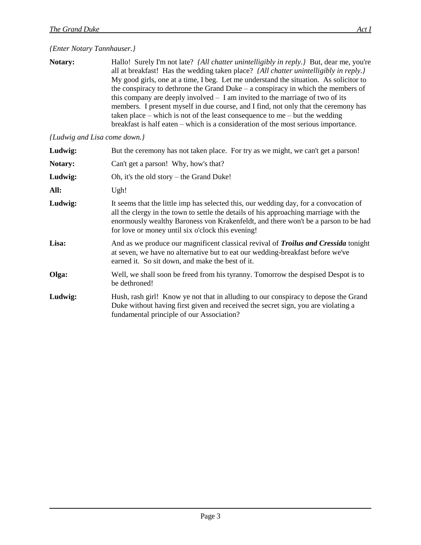*{Enter Notary Tannhauser.}*

| <b>Notary:</b> | Hallo! Surely I'm not late? <i>{All chatter unintelligibly in reply,}</i> But, dear me, you're |
|----------------|------------------------------------------------------------------------------------------------|
|                | all at breakfast! Has the wedding taken place? <i>[All chatter unintelligibly in reply.]</i>   |
|                | My good girls, one at a time, I beg. Let me understand the situation. As solicitor to          |
|                | the conspiracy to dethrone the Grand Duke $-$ a conspiracy in which the members of             |
|                | this company are deeply involved $- I$ am invited to the marriage of two of its                |
|                | members. I present myself in due course, and I find, not only that the ceremony has            |
|                | taken place – which is not of the least consequence to me – but the wedding                    |
|                | breakfast is half eaten – which is a consideration of the most serious importance.             |

*{Ludwig and Lisa come down.}*

| Ludwig: | But the ceremony has not taken place. For try as we might, we can't get a parson!                                                                                                                                                                                                                                         |
|---------|---------------------------------------------------------------------------------------------------------------------------------------------------------------------------------------------------------------------------------------------------------------------------------------------------------------------------|
| Notary: | Can't get a parson! Why, how's that?                                                                                                                                                                                                                                                                                      |
| Ludwig: | Oh, it's the old story $-$ the Grand Duke!                                                                                                                                                                                                                                                                                |
| All:    | Ugh!                                                                                                                                                                                                                                                                                                                      |
| Ludwig: | It seems that the little imp has selected this, our wedding day, for a convocation of<br>all the clergy in the town to settle the details of his approaching marriage with the<br>enormously wealthy Baroness von Krakenfeldt, and there won't be a parson to be had<br>for love or money until six o'clock this evening! |
| Lisa:   | And as we produce our magnificent classical revival of <i>Troilus and Cressida</i> tonight<br>at seven, we have no alternative but to eat our wedding-breakfast before we've<br>earned it. So sit down, and make the best of it.                                                                                          |
| Olga:   | Well, we shall soon be freed from his tyranny. Tomorrow the despised Despot is to<br>be dethroned!                                                                                                                                                                                                                        |
| Ludwig: | Hush, rash girl! Know ye not that in alluding to our conspiracy to depose the Grand<br>Duke without having first given and received the secret sign, you are violating a<br>fundamental principle of our Association?                                                                                                     |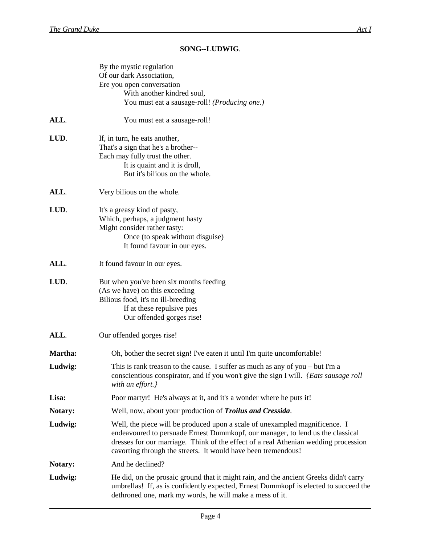## **SONG--LUDWIG**.

|         | By the mystic regulation                                                                                                                                                                                                                                                                                              |
|---------|-----------------------------------------------------------------------------------------------------------------------------------------------------------------------------------------------------------------------------------------------------------------------------------------------------------------------|
|         | Of our dark Association,                                                                                                                                                                                                                                                                                              |
|         | Ere you open conversation<br>With another kindred soul,                                                                                                                                                                                                                                                               |
|         | You must eat a sausage-roll! (Producing one.)                                                                                                                                                                                                                                                                         |
|         |                                                                                                                                                                                                                                                                                                                       |
| ALL.    | You must eat a sausage-roll!                                                                                                                                                                                                                                                                                          |
| LUD.    | If, in turn, he eats another,                                                                                                                                                                                                                                                                                         |
|         | That's a sign that he's a brother--                                                                                                                                                                                                                                                                                   |
|         | Each may fully trust the other.                                                                                                                                                                                                                                                                                       |
|         | It is quaint and it is droll,                                                                                                                                                                                                                                                                                         |
|         | But it's bilious on the whole.                                                                                                                                                                                                                                                                                        |
| ALL.    | Very bilious on the whole.                                                                                                                                                                                                                                                                                            |
| LUD.    | It's a greasy kind of pasty,                                                                                                                                                                                                                                                                                          |
|         | Which, perhaps, a judgment hasty                                                                                                                                                                                                                                                                                      |
|         | Might consider rather tasty:                                                                                                                                                                                                                                                                                          |
|         | Once (to speak without disguise)                                                                                                                                                                                                                                                                                      |
|         | It found favour in our eyes.                                                                                                                                                                                                                                                                                          |
| ALL.    | It found favour in our eyes.                                                                                                                                                                                                                                                                                          |
| LUD.    | But when you've been six months feeding                                                                                                                                                                                                                                                                               |
|         | (As we have) on this exceeding                                                                                                                                                                                                                                                                                        |
|         | Bilious food, it's no ill-breeding                                                                                                                                                                                                                                                                                    |
|         | If at these repulsive pies                                                                                                                                                                                                                                                                                            |
|         | Our offended gorges rise!                                                                                                                                                                                                                                                                                             |
| ALL.    | Our offended gorges rise!                                                                                                                                                                                                                                                                                             |
| Martha: | Oh, bother the secret sign! I've eaten it until I'm quite uncomfortable!                                                                                                                                                                                                                                              |
| Ludwig: | This is rank treason to the cause. I suffer as much as any of you $-$ but I'm a<br>conscientious conspirator, and if you won't give the sign I will. <i>{Eats sausage roll</i><br>with an effort.}                                                                                                                    |
| Lisa:   | Poor martyr! He's always at it, and it's a wonder where he puts it!                                                                                                                                                                                                                                                   |
| Notary: | Well, now, about your production of Troilus and Cressida.                                                                                                                                                                                                                                                             |
| Ludwig: | Well, the piece will be produced upon a scale of unexampled magnificence. I<br>endeavoured to persuade Ernest Dummkopf, our manager, to lend us the classical<br>dresses for our marriage. Think of the effect of a real Athenian wedding procession<br>cavorting through the streets. It would have been tremendous! |
| Notary: | And he declined?                                                                                                                                                                                                                                                                                                      |
| Ludwig: | He did, on the prosaic ground that it might rain, and the ancient Greeks didn't carry<br>umbrellas! If, as is confidently expected, Ernest Dummkopf is elected to succeed the<br>dethroned one, mark my words, he will make a mess of it.                                                                             |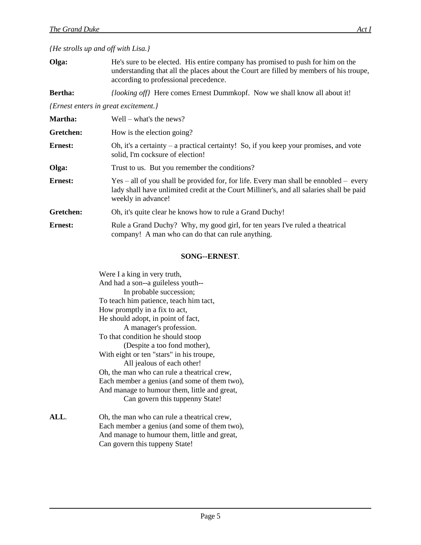*{He strolls up and off with Lisa.}*

| Olga: | He's sure to be elected. His entire company has promised to push for him on the        |
|-------|----------------------------------------------------------------------------------------|
|       | understanding that all the places about the Court are filled by members of his troupe, |
|       | according to professional precedence.                                                  |

**Bertha:** *{looking off}* Here comes Ernest Dummkopf. Now we shall know all about it!

*{Ernest enters in great excitement.}*

| Martha:        | Well – what's the news?                                                                                                                                                                                   |
|----------------|-----------------------------------------------------------------------------------------------------------------------------------------------------------------------------------------------------------|
| Gretchen:      | How is the election going?                                                                                                                                                                                |
| <b>Ernest:</b> | Oh, it's a certainty – a practical certainty! So, if you keep your promises, and vote<br>solid, I'm cocksure of election!                                                                                 |
| Olga:          | Trust to us. But you remember the conditions?                                                                                                                                                             |
| <b>Ernest:</b> | $Yes - all of you shall be provided for, for life. Every man shall be ennobled - every$<br>lady shall have unlimited credit at the Court Milliner's, and all salaries shall be paid<br>weekly in advance! |
| Gretchen:      | Oh, it's quite clear he knows how to rule a Grand Duchy!                                                                                                                                                  |
| <b>Ernest:</b> | Rule a Grand Duchy? Why, my good girl, for ten years I've ruled a theatrical<br>company! A man who can do that can rule anything.                                                                         |

#### **SONG--ERNEST**.

| Were I a king in very truth,                 |
|----------------------------------------------|
| And had a son--a guileless youth--           |
| In probable succession;                      |
| To teach him patience, teach him tact,       |
| How promptly in a fix to act,                |
| He should adopt, in point of fact,           |
| A manager's profession.                      |
| To that condition he should stoop            |
| (Despite a too fond mother),                 |
| With eight or ten "stars" in his troupe,     |
| All jealous of each other!                   |
| Oh, the man who can rule a theatrical crew,  |
| Each member a genius (and some of them two), |
| And manage to humour them, little and great, |
| Can govern this tuppenny State!              |
|                                              |

ALL. Oh, the man who can rule a theatrical crew, Each member a genius (and some of them two), And manage to humour them, little and great, Can govern this tuppeny State!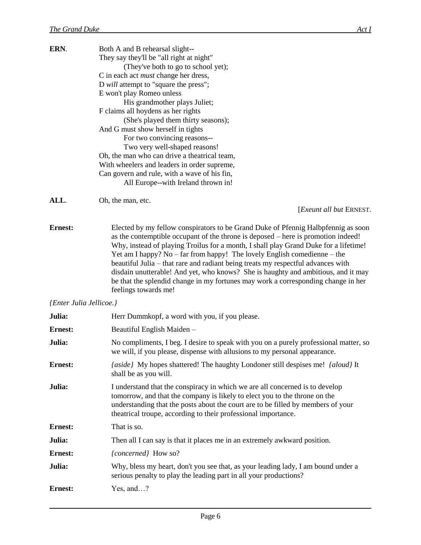| ERN.                    | Both A and B rehearsal slight--<br>They say they'll be "all right at night"                                                                                                                                                                                                                                                                                                                                                                                                                                         |
|-------------------------|---------------------------------------------------------------------------------------------------------------------------------------------------------------------------------------------------------------------------------------------------------------------------------------------------------------------------------------------------------------------------------------------------------------------------------------------------------------------------------------------------------------------|
|                         | (They've both to go to school yet);                                                                                                                                                                                                                                                                                                                                                                                                                                                                                 |
|                         | C in each act <i>must</i> change her dress,                                                                                                                                                                                                                                                                                                                                                                                                                                                                         |
|                         | D will attempt to "square the press";<br>E won't play Romeo unless                                                                                                                                                                                                                                                                                                                                                                                                                                                  |
|                         | His grandmother plays Juliet;                                                                                                                                                                                                                                                                                                                                                                                                                                                                                       |
|                         | F claims all hoydens as her rights                                                                                                                                                                                                                                                                                                                                                                                                                                                                                  |
|                         | (She's played them thirty seasons);                                                                                                                                                                                                                                                                                                                                                                                                                                                                                 |
|                         | And G must show herself in tights                                                                                                                                                                                                                                                                                                                                                                                                                                                                                   |
|                         | For two convincing reasons--                                                                                                                                                                                                                                                                                                                                                                                                                                                                                        |
|                         | Two very well-shaped reasons!                                                                                                                                                                                                                                                                                                                                                                                                                                                                                       |
|                         | Oh, the man who can drive a theatrical team,<br>With wheelers and leaders in order supreme,                                                                                                                                                                                                                                                                                                                                                                                                                         |
|                         | Can govern and rule, with a wave of his fin,                                                                                                                                                                                                                                                                                                                                                                                                                                                                        |
|                         | All Europe--with Ireland thrown in!                                                                                                                                                                                                                                                                                                                                                                                                                                                                                 |
|                         |                                                                                                                                                                                                                                                                                                                                                                                                                                                                                                                     |
| ALL.                    | Oh, the man, etc.                                                                                                                                                                                                                                                                                                                                                                                                                                                                                                   |
|                         | [ <i>Exeunt all but</i> ERNEST.                                                                                                                                                                                                                                                                                                                                                                                                                                                                                     |
| <b>Ernest:</b>          | Elected by my fellow conspirators to be Grand Duke of Pfennig Halbpfennig as soon<br>as the contemptible occupant of the throne is deposed – here is promotion indeed!<br>Why, instead of playing Troilus for a month, I shall play Grand Duke for a lifetime!<br>Yet am I happy? No – far from happy! The lovely English comedienne – the<br>beautiful Julia – that rare and radiant being treats my respectful advances with<br>disdain unutterable! And yet, who knows? She is haughty and ambitious, and it may |
|                         | be that the splendid change in my fortunes may work a corresponding change in her<br>feelings towards me!                                                                                                                                                                                                                                                                                                                                                                                                           |
| {Enter Julia Jellicoe.} |                                                                                                                                                                                                                                                                                                                                                                                                                                                                                                                     |
| Julia:                  | Herr Dummkopf, a word with you, if you please.                                                                                                                                                                                                                                                                                                                                                                                                                                                                      |
| <b>Ernest:</b>          | Beautiful English Maiden -                                                                                                                                                                                                                                                                                                                                                                                                                                                                                          |
| Julia:                  | No compliments, I beg. I desire to speak with you on a purely professional matter, so<br>we will, if you please, dispense with allusions to my personal appearance.                                                                                                                                                                                                                                                                                                                                                 |
| <b>Ernest:</b>          | <i>{aside}</i> My hopes shattered! The haughty Londoner still despises me! <i>{aloud}</i> It<br>shall be as you will.                                                                                                                                                                                                                                                                                                                                                                                               |
| Julia:                  | I understand that the conspiracy in which we are all concerned is to develop<br>tomorrow, and that the company is likely to elect you to the throne on the<br>understanding that the posts about the court are to be filled by members of your<br>theatrical troupe, according to their professional importance.                                                                                                                                                                                                    |
| Ernest:                 | That is so.                                                                                                                                                                                                                                                                                                                                                                                                                                                                                                         |
| Julia:                  | Then all I can say is that it places me in an extremely awkward position.                                                                                                                                                                                                                                                                                                                                                                                                                                           |
| <b>Ernest:</b>          | {concerned} How so?                                                                                                                                                                                                                                                                                                                                                                                                                                                                                                 |
| Julia:                  | Why, bless my heart, don't you see that, as your leading lady, I am bound under a<br>serious penalty to play the leading part in all your productions?                                                                                                                                                                                                                                                                                                                                                              |
| <b>Ernest:</b>          | Yes, and $\ldots$ ?                                                                                                                                                                                                                                                                                                                                                                                                                                                                                                 |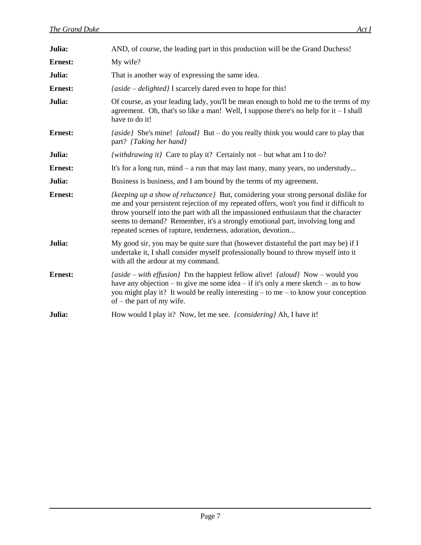| Julia:         | AND, of course, the leading part in this production will be the Grand Duchess!                                                                                                                                                                                                                                                                                                                                       |
|----------------|----------------------------------------------------------------------------------------------------------------------------------------------------------------------------------------------------------------------------------------------------------------------------------------------------------------------------------------------------------------------------------------------------------------------|
| <b>Ernest:</b> | My wife?                                                                                                                                                                                                                                                                                                                                                                                                             |
| Julia:         | That is another way of expressing the same idea.                                                                                                                                                                                                                                                                                                                                                                     |
| <b>Ernest:</b> | <i>{aside – delighted}</i> I scarcely dared even to hope for this!                                                                                                                                                                                                                                                                                                                                                   |
| Julia:         | Of course, as your leading lady, you'll be mean enough to hold me to the terms of my<br>agreement. Oh, that's so like a man! Well, I suppose there's no help for it $-I$ shall<br>have to do it!                                                                                                                                                                                                                     |
| <b>Ernest:</b> | <i>{aside}</i> She's mine! <i>{aloud}</i> But – do you really think you would care to play that<br>part? {Taking her hand}                                                                                                                                                                                                                                                                                           |
| Julia:         | <i>{withdrawing it}</i> Care to play it? Certainly not $-$ but what am I to do?                                                                                                                                                                                                                                                                                                                                      |
| <b>Ernest:</b> | It's for a long run, $mind - a$ run that may last many, many years, no understudy                                                                                                                                                                                                                                                                                                                                    |
| Julia:         | Business is business, and I am bound by the terms of my agreement.                                                                                                                                                                                                                                                                                                                                                   |
| <b>Ernest:</b> | {keeping up a show of reluctance} But, considering your strong personal dislike for<br>me and your persistent rejection of my repeated offers, won't you find it difficult to<br>throw yourself into the part with all the impassioned enthusiasm that the character<br>seems to demand? Remember, it's a strongly emotional part, involving long and<br>repeated scenes of rapture, tenderness, adoration, devotion |
| Julia:         | My good sir, you may be quite sure that (however distasteful the part may be) if I<br>undertake it, I shall consider myself professionally bound to throw myself into it<br>with all the ardour at my command.                                                                                                                                                                                                       |
| <b>Ernest:</b> | $\{aside - with effusion\}$ I'm the happiest fellow alive! $\{aload\}$ Now – would you<br>have any objection – to give me some idea – if it's only a mere sketch – as to how<br>you might play it? It would be really interesting – to me – to know your conception<br>of $-$ the part of my wife.                                                                                                                   |
| Julia:         | How would I play it? Now, let me see. <i>{considering}</i> Ah, I have it!                                                                                                                                                                                                                                                                                                                                            |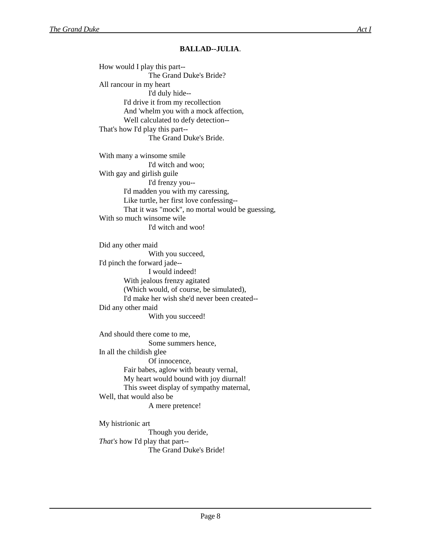## **BALLAD--JULIA**.

How would I play this part-- The Grand Duke's Bride? All rancour in my heart I'd duly hide-- I'd drive it from my recollection And 'whelm you with a mock affection, Well calculated to defy detection-- That's how I'd play this part-- The Grand Duke's Bride. With many a winsome smile I'd witch and woo; With gay and girlish guile I'd frenzy you-- I'd madden you with my caressing, Like turtle, her first love confessing-- That it was "mock", no mortal would be guessing, With so much winsome wile I'd witch and woo! Did any other maid With you succeed, I'd pinch the forward jade-- I would indeed! With jealous frenzy agitated (Which would, of course, be simulated), I'd make her wish she'd never been created-- Did any other maid With you succeed! And should there come to me, Some summers hence, In all the childish glee Of innocence, Fair babes, aglow with beauty vernal, My heart would bound with joy diurnal! This sweet display of sympathy maternal, Well, that would also be A mere pretence! My histrionic art Though you deride, *That's* how I'd play that part-- The Grand Duke's Bride!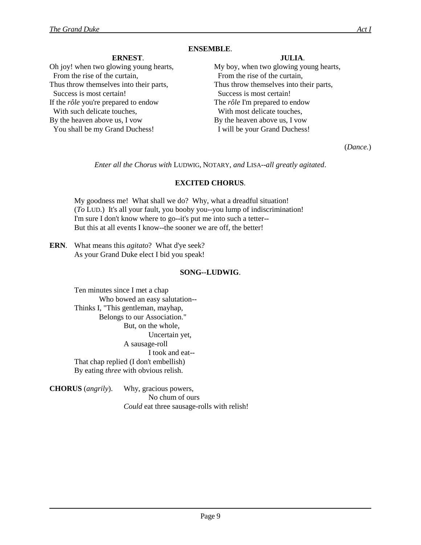#### **ENSEMBLE**.

#### **ERNEST**. **JULIA**.

From the rise of the curtain, From the rise of the curtain, Thus throw themselves into their parts, Thus throw themselves into their parts, Success is most certain!<br>
Success is most certain! If the *rôle* you're prepared to endow The *rôle* I'm prepared to endow With such delicate touches, With most delicate touches, By the heaven above us, I vow By the heaven above us, I vow You shall be my Grand Duchess! I will be your Grand Duchess!

Oh joy! when two glowing young hearts, My boy, when two glowing young hearts,

(*Dance.*)

*Enter all the Chorus with* LUDWIG, NOTARY, *and* LISA--*all greatly agitated*.

#### **EXCITED CHORUS**.

My goodness me! What shall we do? Why, what a dreadful situation! (*To* LUD.) It's all your fault, you booby you--you lump of indiscrimination! I'm sure I don't know where to go--it's put me into such a tetter-- But this at all events I know--the sooner we are off, the better!

**ERN**. What means this *agitato*? What d'ye seek? As your Grand Duke elect I bid you speak!

#### **SONG--LUDWIG**.

Ten minutes since I met a chap Who bowed an easy salutation-- Thinks I, "This gentleman, mayhap, Belongs to our Association." But, on the whole, Uncertain yet, A sausage-roll I took and eat-- That chap replied (I don't embellish) By eating *three* with obvious relish.

**CHORUS** (*angrily*). Why, gracious powers, No chum of ours *Could* eat three sausage-rolls with relish!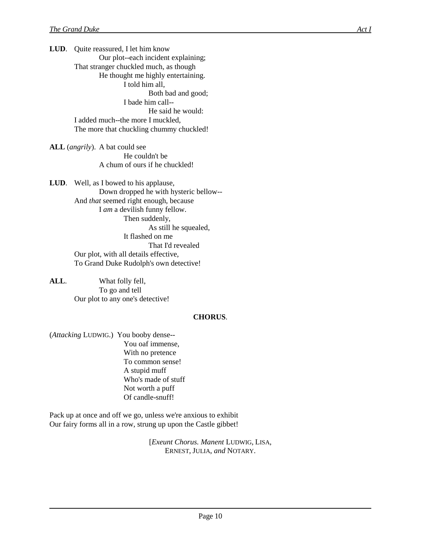**LUD**. Quite reassured, I let him know Our plot--each incident explaining; That stranger chuckled much, as though He thought me highly entertaining. I told him all, Both bad and good; I bade him call-- He said he would: I added much--the more I muckled, The more that chuckling chummy chuckled!

**ALL** (*angrily*). A bat could see He couldn't be A chum of ours if he chuckled!

**LUD**. Well, as I bowed to his applause, Down dropped he with hysteric bellow-- And *that* seemed right enough, because I *am* a devilish funny fellow. Then suddenly, As still he squealed, It flashed on me That I'd revealed Our plot, with all details effective, To Grand Duke Rudolph's own detective!

**ALL**. What folly fell, To go and tell Our plot to any one's detective!

#### **CHORUS**.

(*Attacking* LUDWIG.) You booby dense-- You oaf immense, With no pretence To common sense! A stupid muff Who's made of stuff Not worth a puff Of candle-snuff!

Pack up at once and off we go, unless we're anxious to exhibit Our fairy forms all in a row, strung up upon the Castle gibbet!

> [*Exeunt Chorus. Manent* LUDWIG, LISA, ERNEST, JULIA, *and* NOTARY.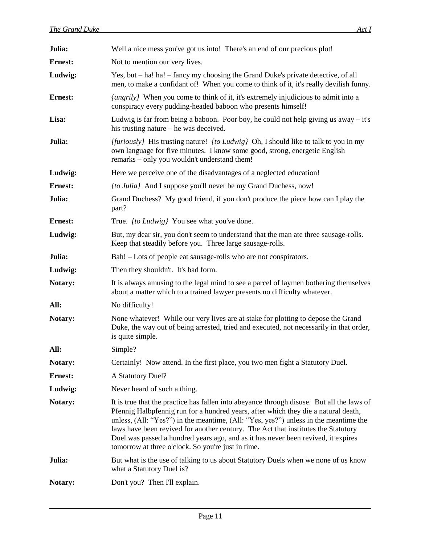| Julia:         | Well a nice mess you've got us into! There's an end of our precious plot!                                                                                                                                                                                                                                                                                                                                                                                                                               |  |
|----------------|---------------------------------------------------------------------------------------------------------------------------------------------------------------------------------------------------------------------------------------------------------------------------------------------------------------------------------------------------------------------------------------------------------------------------------------------------------------------------------------------------------|--|
| <b>Ernest:</b> | Not to mention our very lives.                                                                                                                                                                                                                                                                                                                                                                                                                                                                          |  |
| Ludwig:        | Yes, but - ha! ha! - fancy my choosing the Grand Duke's private detective, of all<br>men, to make a confidant of! When you come to think of it, it's really devilish funny.                                                                                                                                                                                                                                                                                                                             |  |
| <b>Ernest:</b> | <i>{angrily}</i> When you come to think of it, it's extremely injudicious to admit into a<br>conspiracy every pudding-headed baboon who presents himself!                                                                                                                                                                                                                                                                                                                                               |  |
| Lisa:          | Ludwig is far from being a baboon. Poor boy, he could not help giving us away $-i$ t's<br>his trusting nature – he was deceived.                                                                                                                                                                                                                                                                                                                                                                        |  |
| Julia:         | <i>{furiously}</i> His trusting nature! <i>{to Ludwig}</i> Oh, I should like to talk to you in my<br>own language for five minutes. I know some good, strong, energetic English<br>remarks - only you wouldn't understand them!                                                                                                                                                                                                                                                                         |  |
| Ludwig:        | Here we perceive one of the disadvantages of a neglected education!                                                                                                                                                                                                                                                                                                                                                                                                                                     |  |
| <b>Ernest:</b> | <i>{to Julia}</i> And I suppose you'll never be my Grand Duchess, now!                                                                                                                                                                                                                                                                                                                                                                                                                                  |  |
| Julia:         | Grand Duchess? My good friend, if you don't produce the piece how can I play the<br>part?                                                                                                                                                                                                                                                                                                                                                                                                               |  |
| <b>Ernest:</b> | True. <i>{to Ludwig}</i> You see what you've done.                                                                                                                                                                                                                                                                                                                                                                                                                                                      |  |
| Ludwig:        | But, my dear sir, you don't seem to understand that the man ate three sausage-rolls.<br>Keep that steadily before you. Three large sausage-rolls.                                                                                                                                                                                                                                                                                                                                                       |  |
| Julia:         | Bah! – Lots of people eat sausage-rolls who are not conspirators.                                                                                                                                                                                                                                                                                                                                                                                                                                       |  |
| Ludwig:        | Then they shouldn't. It's bad form.                                                                                                                                                                                                                                                                                                                                                                                                                                                                     |  |
| Notary:        | It is always amusing to the legal mind to see a parcel of laymen bothering themselves<br>about a matter which to a trained lawyer presents no difficulty whatever.                                                                                                                                                                                                                                                                                                                                      |  |
| All:           | No difficulty!                                                                                                                                                                                                                                                                                                                                                                                                                                                                                          |  |
| Notary:        | None whatever! While our very lives are at stake for plotting to depose the Grand<br>Duke, the way out of being arrested, tried and executed, not necessarily in that order,<br>is quite simple.                                                                                                                                                                                                                                                                                                        |  |
| All:           | Simple?                                                                                                                                                                                                                                                                                                                                                                                                                                                                                                 |  |
| Notary:        | Certainly! Now attend. In the first place, you two men fight a Statutory Duel.                                                                                                                                                                                                                                                                                                                                                                                                                          |  |
| <b>Ernest:</b> | A Statutory Duel?                                                                                                                                                                                                                                                                                                                                                                                                                                                                                       |  |
| Ludwig:        | Never heard of such a thing.                                                                                                                                                                                                                                                                                                                                                                                                                                                                            |  |
| Notary:        | It is true that the practice has fallen into abeyance through disuse. But all the laws of<br>Pfennig Halbpfennig run for a hundred years, after which they die a natural death,<br>unless, (All: "Yes?") in the meantime, (All: "Yes, yes?") unless in the meantime the<br>laws have been revived for another century. The Act that institutes the Statutory<br>Duel was passed a hundred years ago, and as it has never been revived, it expires<br>tomorrow at three o'clock. So you're just in time. |  |
| Julia:         | But what is the use of talking to us about Statutory Duels when we none of us know<br>what a Statutory Duel is?                                                                                                                                                                                                                                                                                                                                                                                         |  |
| Notary:        | Don't you? Then I'll explain.                                                                                                                                                                                                                                                                                                                                                                                                                                                                           |  |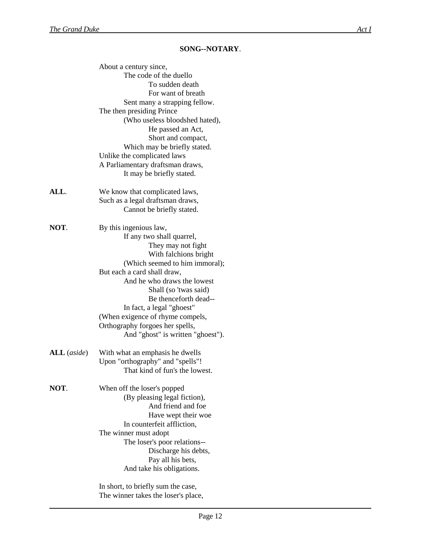## **SONG--NOTARY**.

|               | About a century since,             |
|---------------|------------------------------------|
|               | The code of the duello             |
|               | To sudden death                    |
|               | For want of breath                 |
|               | Sent many a strapping fellow.      |
|               | The then presiding Prince          |
|               | (Who useless bloodshed hated),     |
|               | He passed an Act,                  |
|               | Short and compact,                 |
|               | Which may be briefly stated.       |
|               | Unlike the complicated laws        |
|               | A Parliamentary draftsman draws,   |
|               | It may be briefly stated.          |
|               |                                    |
| ALL.          | We know that complicated laws,     |
|               | Such as a legal draftsman draws,   |
|               | Cannot be briefly stated.          |
| NOT.          |                                    |
|               | By this ingenious law,             |
|               | If any two shall quarrel,          |
|               | They may not fight                 |
|               | With falchions bright              |
|               | (Which seemed to him immoral);     |
|               | But each a card shall draw,        |
|               | And he who draws the lowest        |
|               | Shall (so 'twas said)              |
|               | Be thenceforth dead--              |
|               | In fact, a legal "ghoest"          |
|               | (When exigence of rhyme compels,   |
|               | Orthography forgoes her spells,    |
|               | And "ghost" is written "ghoest").  |
| $ALL$ (aside) | With what an emphasis he dwells    |
|               | Upon "orthography" and "spells"!   |
|               | That kind of fun's the lowest.     |
|               |                                    |
| NOT.          | When off the loser's popped        |
|               | (By pleasing legal fiction),       |
|               | And friend and foe                 |
|               | Have wept their woe                |
|               | In counterfeit affliction,         |
|               | The winner must adopt              |
|               | The loser's poor relations--       |
|               | Discharge his debts,               |
|               | Pay all his bets,                  |
|               | And take his obligations.          |
|               | In short, to briefly sum the case, |
|               |                                    |

The winner takes the loser's place,

Page 12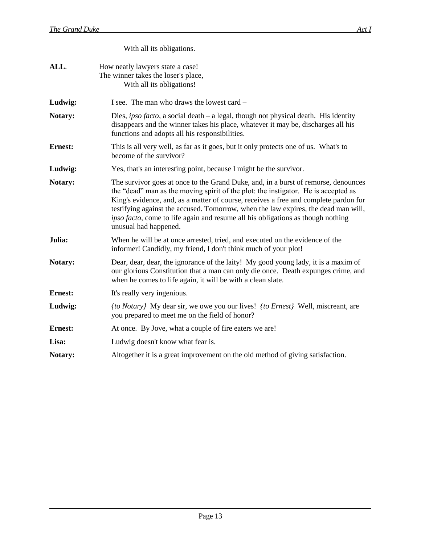|                | With all its obligations.                                                                                                                                                                                                                                                                                                                                                                                                                                          |
|----------------|--------------------------------------------------------------------------------------------------------------------------------------------------------------------------------------------------------------------------------------------------------------------------------------------------------------------------------------------------------------------------------------------------------------------------------------------------------------------|
| ALL.           | How neatly lawyers state a case!<br>The winner takes the loser's place,<br>With all its obligations!                                                                                                                                                                                                                                                                                                                                                               |
| Ludwig:        | I see. The man who draws the lowest card –                                                                                                                                                                                                                                                                                                                                                                                                                         |
| Notary:        | Dies, <i>ipso facto</i> , a social death – a legal, though not physical death. His identity<br>disappears and the winner takes his place, whatever it may be, discharges all his<br>functions and adopts all his responsibilities.                                                                                                                                                                                                                                 |
| <b>Ernest:</b> | This is all very well, as far as it goes, but it only protects one of us. What's to<br>become of the survivor?                                                                                                                                                                                                                                                                                                                                                     |
| Ludwig:        | Yes, that's an interesting point, because I might be the survivor.                                                                                                                                                                                                                                                                                                                                                                                                 |
| Notary:        | The survivor goes at once to the Grand Duke, and, in a burst of remorse, denounces<br>the "dead" man as the moving spirit of the plot: the instigator. He is accepted as<br>King's evidence, and, as a matter of course, receives a free and complete pardon for<br>testifying against the accused. Tomorrow, when the law expires, the dead man will,<br>ipso facto, come to life again and resume all his obligations as though nothing<br>unusual had happened. |
| Julia:         | When he will be at once arrested, tried, and executed on the evidence of the<br>informer! Candidly, my friend, I don't think much of your plot!                                                                                                                                                                                                                                                                                                                    |
| Notary:        | Dear, dear, dear, the ignorance of the laity! My good young lady, it is a maxim of<br>our glorious Constitution that a man can only die once. Death expunges crime, and<br>when he comes to life again, it will be with a clean slate.                                                                                                                                                                                                                             |
| <b>Ernest:</b> | It's really very ingenious.                                                                                                                                                                                                                                                                                                                                                                                                                                        |
| Ludwig:        | <i>{to Notary}</i> My dear sir, we owe you our lives! <i>{to Ernest}</i> Well, miscreant, are<br>you prepared to meet me on the field of honor?                                                                                                                                                                                                                                                                                                                    |
| <b>Ernest:</b> | At once. By Jove, what a couple of fire eaters we are!                                                                                                                                                                                                                                                                                                                                                                                                             |
| Lisa:          | Ludwig doesn't know what fear is.                                                                                                                                                                                                                                                                                                                                                                                                                                  |
| <b>Notary:</b> | Altogether it is a great improvement on the old method of giving satisfaction.                                                                                                                                                                                                                                                                                                                                                                                     |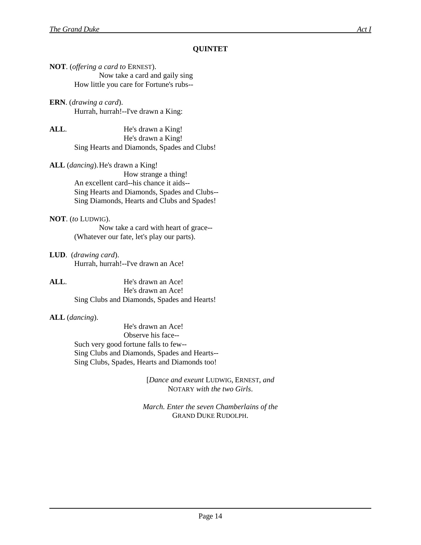## **QUINTET**

**NOT**. (*offering a card to* ERNEST). Now take a card and gaily sing How little you care for Fortune's rubs--

**ERN**. (*drawing a card*). Hurrah, hurrah!--I've drawn a King:

**ALL.** He's drawn a King! He's drawn a King! Sing Hearts and Diamonds, Spades and Clubs!

**ALL** (*dancing*).He's drawn a King! How strange a thing! An excellent card--his chance it aids-- Sing Hearts and Diamonds, Spades and Clubs-- Sing Diamonds, Hearts and Clubs and Spades!

#### **NOT**. (*to* LUDWIG).

Now take a card with heart of grace-- (Whatever our fate, let's play our parts).

- **LUD**. (*drawing card*). Hurrah, hurrah!--I've drawn an Ace!
- **ALL.** He's drawn an Ace! He's drawn an Ace! Sing Clubs and Diamonds, Spades and Hearts!

#### **ALL** (*dancing*).

He's drawn an Ace! Observe his face-- Such very good fortune falls to few-- Sing Clubs and Diamonds, Spades and Hearts-- Sing Clubs, Spades, Hearts and Diamonds too!

> [*Dance and exeunt* LUDWIG, ERNEST, *and* NOTARY *with the two Girls*.

*March. Enter the seven Chamberlains of the* GRAND DUKE RUDOLPH.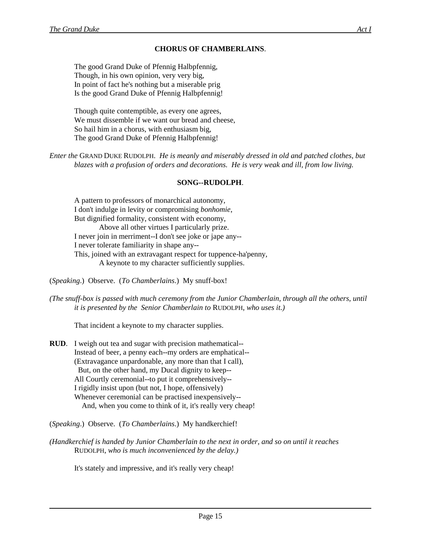### **CHORUS OF CHAMBERLAINS**.

The good Grand Duke of Pfennig Halbpfennig, Though, in his own opinion, very very big, In point of fact he's nothing but a miserable prig Is the good Grand Duke of Pfennig Halbpfennig!

Though quite contemptible, as every one agrees, We must dissemble if we want our bread and cheese, So hail him in a chorus, with enthusiasm big, The good Grand Duke of Pfennig Halbpfennig!

*Enter the* GRAND DUKE RUDOLPH. *He is meanly and miserably dressed in old and patched clothes, but blazes with a profusion of orders and decorations. He is very weak and ill, from low living.*

#### **SONG--RUDOLPH**.

A pattern to professors of monarchical autonomy, I don't indulge in levity or compromising *bonhomie*, But dignified formality, consistent with economy, Above all other virtues I particularly prize. I never join in merriment--I don't see joke or jape any-- I never tolerate familiarity in shape any-- This, joined with an extravagant respect for tuppence-ha'penny, A keynote to my character sufficiently supplies.

(*Speaking*.) Observe. (*To Chamberlains*.) My snuff-box!

*(The snuff-box is passed with much ceremony from the Junior Chamberlain, through all the others, until it is presented by the Senior Chamberlain to* RUDOLPH, *who uses it.)*

That incident a keynote to my character supplies.

**RUD**. I weigh out tea and sugar with precision mathematical-- Instead of beer, a penny each--my orders are emphatical-- (Extravagance unpardonable, any more than that I call), But, on the other hand, my Ducal dignity to keep-- All Courtly ceremonial--to put it comprehensively-- I rigidly insist upon (but not, I hope, offensively) Whenever ceremonial can be practised inexpensively-- And, when you come to think of it, it's really very cheap!

(*Speaking*.) Observe. (*To Chamberlains*.) My handkerchief!

*(Handkerchief is handed by Junior Chamberlain to the next in order, and so on until it reaches* RUDOLPH, *who is much inconvenienced by the delay.)*

It's stately and impressive, and it's really very cheap!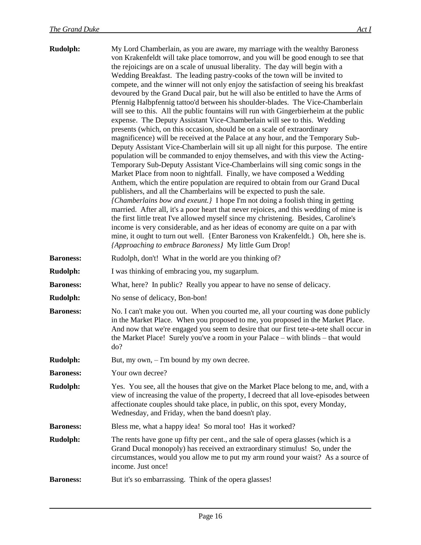| <b>Rudolph:</b>  | My Lord Chamberlain, as you are aware, my marriage with the wealthy Baroness<br>von Krakenfeldt will take place tomorrow, and you will be good enough to see that<br>the rejoicings are on a scale of unusual liberality. The day will begin with a<br>Wedding Breakfast. The leading pastry-cooks of the town will be invited to<br>compete, and the winner will not only enjoy the satisfaction of seeing his breakfast<br>devoured by the Grand Ducal pair, but he will also be entitled to have the Arms of<br>Pfennig Halbpfennig tattoo'd between his shoulder-blades. The Vice-Chamberlain<br>will see to this. All the public fountains will run with Gingerbierheim at the public<br>expense. The Deputy Assistant Vice-Chamberlain will see to this. Wedding<br>presents (which, on this occasion, should be on a scale of extraordinary<br>magnificence) will be received at the Palace at any hour, and the Temporary Sub-<br>Deputy Assistant Vice-Chamberlain will sit up all night for this purpose. The entire<br>population will be commanded to enjoy themselves, and with this view the Acting-<br>Temporary Sub-Deputy Assistant Vice-Chamberlains will sing comic songs in the<br>Market Place from noon to nightfall. Finally, we have composed a Wedding<br>Anthem, which the entire population are required to obtain from our Grand Ducal<br>publishers, and all the Chamberlains will be expected to push the sale.<br>{Chamberlains bow and exeunt.} I hope I'm not doing a foolish thing in getting<br>married. After all, it's a poor heart that never rejoices, and this wedding of mine is<br>the first little treat I've allowed myself since my christening. Besides, Caroline's<br>income is very considerable, and as her ideas of economy are quite on a par with<br>mine, it ought to turn out well. {Enter Baroness von Krakenfeldt.} Oh, here she is.<br>{Approaching to embrace Baroness} My little Gum Drop! |
|------------------|-------------------------------------------------------------------------------------------------------------------------------------------------------------------------------------------------------------------------------------------------------------------------------------------------------------------------------------------------------------------------------------------------------------------------------------------------------------------------------------------------------------------------------------------------------------------------------------------------------------------------------------------------------------------------------------------------------------------------------------------------------------------------------------------------------------------------------------------------------------------------------------------------------------------------------------------------------------------------------------------------------------------------------------------------------------------------------------------------------------------------------------------------------------------------------------------------------------------------------------------------------------------------------------------------------------------------------------------------------------------------------------------------------------------------------------------------------------------------------------------------------------------------------------------------------------------------------------------------------------------------------------------------------------------------------------------------------------------------------------------------------------------------------------------------------------------------------------------------------------------------------------------------------------------------------------------------------|
| <b>Baroness:</b> | Rudolph, don't! What in the world are you thinking of?                                                                                                                                                                                                                                                                                                                                                                                                                                                                                                                                                                                                                                                                                                                                                                                                                                                                                                                                                                                                                                                                                                                                                                                                                                                                                                                                                                                                                                                                                                                                                                                                                                                                                                                                                                                                                                                                                                |
| <b>Rudolph:</b>  | I was thinking of embracing you, my sugarplum.                                                                                                                                                                                                                                                                                                                                                                                                                                                                                                                                                                                                                                                                                                                                                                                                                                                                                                                                                                                                                                                                                                                                                                                                                                                                                                                                                                                                                                                                                                                                                                                                                                                                                                                                                                                                                                                                                                        |
| <b>Baroness:</b> | What, here? In public? Really you appear to have no sense of delicacy.                                                                                                                                                                                                                                                                                                                                                                                                                                                                                                                                                                                                                                                                                                                                                                                                                                                                                                                                                                                                                                                                                                                                                                                                                                                                                                                                                                                                                                                                                                                                                                                                                                                                                                                                                                                                                                                                                |
| <b>Rudolph:</b>  | No sense of delicacy, Bon-bon!                                                                                                                                                                                                                                                                                                                                                                                                                                                                                                                                                                                                                                                                                                                                                                                                                                                                                                                                                                                                                                                                                                                                                                                                                                                                                                                                                                                                                                                                                                                                                                                                                                                                                                                                                                                                                                                                                                                        |
| <b>Baroness:</b> | No. I can't make you out. When you courted me, all your courting was done publicly<br>in the Market Place. When you proposed to me, you proposed in the Market Place.<br>And now that we're engaged you seem to desire that our first tete-a-tete shall occur in<br>the Market Place! Surely you've a room in your Palace – with blinds – that would<br>do?                                                                                                                                                                                                                                                                                                                                                                                                                                                                                                                                                                                                                                                                                                                                                                                                                                                                                                                                                                                                                                                                                                                                                                                                                                                                                                                                                                                                                                                                                                                                                                                           |
| <b>Rudolph:</b>  | But, my own, – I'm bound by my own decree.                                                                                                                                                                                                                                                                                                                                                                                                                                                                                                                                                                                                                                                                                                                                                                                                                                                                                                                                                                                                                                                                                                                                                                                                                                                                                                                                                                                                                                                                                                                                                                                                                                                                                                                                                                                                                                                                                                            |
| <b>Baroness:</b> | Your own decree?                                                                                                                                                                                                                                                                                                                                                                                                                                                                                                                                                                                                                                                                                                                                                                                                                                                                                                                                                                                                                                                                                                                                                                                                                                                                                                                                                                                                                                                                                                                                                                                                                                                                                                                                                                                                                                                                                                                                      |
| <b>Rudolph:</b>  | Yes. You see, all the houses that give on the Market Place belong to me, and, with a<br>view of increasing the value of the property, I decreed that all love-episodes between<br>affectionate couples should take place, in public, on this spot, every Monday,<br>Wednesday, and Friday, when the band doesn't play.                                                                                                                                                                                                                                                                                                                                                                                                                                                                                                                                                                                                                                                                                                                                                                                                                                                                                                                                                                                                                                                                                                                                                                                                                                                                                                                                                                                                                                                                                                                                                                                                                                |
| <b>Baroness:</b> | Bless me, what a happy idea! So moral too! Has it worked?                                                                                                                                                                                                                                                                                                                                                                                                                                                                                                                                                                                                                                                                                                                                                                                                                                                                                                                                                                                                                                                                                                                                                                                                                                                                                                                                                                                                                                                                                                                                                                                                                                                                                                                                                                                                                                                                                             |
| <b>Rudolph:</b>  | The rents have gone up fifty per cent., and the sale of opera glasses (which is a<br>Grand Ducal monopoly) has received an extraordinary stimulus! So, under the<br>circumstances, would you allow me to put my arm round your waist? As a source of<br>income. Just once!                                                                                                                                                                                                                                                                                                                                                                                                                                                                                                                                                                                                                                                                                                                                                                                                                                                                                                                                                                                                                                                                                                                                                                                                                                                                                                                                                                                                                                                                                                                                                                                                                                                                            |
| <b>Baroness:</b> | But it's so embarrassing. Think of the opera glasses!                                                                                                                                                                                                                                                                                                                                                                                                                                                                                                                                                                                                                                                                                                                                                                                                                                                                                                                                                                                                                                                                                                                                                                                                                                                                                                                                                                                                                                                                                                                                                                                                                                                                                                                                                                                                                                                                                                 |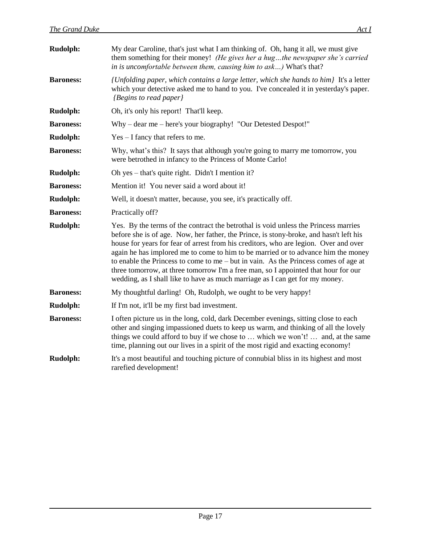| <b>Rudolph:</b>  | My dear Caroline, that's just what I am thinking of. Oh, hang it all, we must give<br>them something for their money! (He gives her a hugthe newspaper she's carried<br>in is uncomfortable between them, causing him to ask) What's that?                                                                                                                                                                                                                                                                                                                                                                                |
|------------------|---------------------------------------------------------------------------------------------------------------------------------------------------------------------------------------------------------------------------------------------------------------------------------------------------------------------------------------------------------------------------------------------------------------------------------------------------------------------------------------------------------------------------------------------------------------------------------------------------------------------------|
| <b>Baroness:</b> | {Unfolding paper, which contains a large letter, which she hands to him} It's a letter<br>which your detective asked me to hand to you. I've concealed it in yesterday's paper.<br><i>{Begins to read paper}</i>                                                                                                                                                                                                                                                                                                                                                                                                          |
| <b>Rudolph:</b>  | Oh, it's only his report! That'll keep.                                                                                                                                                                                                                                                                                                                                                                                                                                                                                                                                                                                   |
| <b>Baroness:</b> | Why – dear me – here's your biography! "Our Detested Despot!"                                                                                                                                                                                                                                                                                                                                                                                                                                                                                                                                                             |
| <b>Rudolph:</b>  | $Yes - I$ fancy that refers to me.                                                                                                                                                                                                                                                                                                                                                                                                                                                                                                                                                                                        |
| <b>Baroness:</b> | Why, what's this? It says that although you're going to marry me tomorrow, you<br>were betrothed in infancy to the Princess of Monte Carlo!                                                                                                                                                                                                                                                                                                                                                                                                                                                                               |
| <b>Rudolph:</b>  | Oh yes – that's quite right. Didn't I mention it?                                                                                                                                                                                                                                                                                                                                                                                                                                                                                                                                                                         |
| <b>Baroness:</b> | Mention it! You never said a word about it!                                                                                                                                                                                                                                                                                                                                                                                                                                                                                                                                                                               |
| <b>Rudolph:</b>  | Well, it doesn't matter, because, you see, it's practically off.                                                                                                                                                                                                                                                                                                                                                                                                                                                                                                                                                          |
| <b>Baroness:</b> | Practically off?                                                                                                                                                                                                                                                                                                                                                                                                                                                                                                                                                                                                          |
| <b>Rudolph:</b>  | Yes. By the terms of the contract the betrothal is void unless the Princess marries<br>before she is of age. Now, her father, the Prince, is stony-broke, and hasn't left his<br>house for years for fear of arrest from his creditors, who are legion. Over and over<br>again he has implored me to come to him to be married or to advance him the money<br>to enable the Princess to come to me $-$ but in vain. As the Princess comes of age at<br>three tomorrow, at three tomorrow I'm a free man, so I appointed that hour for our<br>wedding, as I shall like to have as much marriage as I can get for my money. |
| <b>Baroness:</b> | My thoughtful darling! Oh, Rudolph, we ought to be very happy!                                                                                                                                                                                                                                                                                                                                                                                                                                                                                                                                                            |
| <b>Rudolph:</b>  | If I'm not, it'll be my first bad investment.                                                                                                                                                                                                                                                                                                                                                                                                                                                                                                                                                                             |
| <b>Baroness:</b> | I often picture us in the long, cold, dark December evenings, sitting close to each<br>other and singing impassioned duets to keep us warm, and thinking of all the lovely<br>things we could afford to buy if we chose to  which we won't!  and, at the same<br>time, planning out our lives in a spirit of the most rigid and exacting economy!                                                                                                                                                                                                                                                                         |
| <b>Rudolph:</b>  | It's a most beautiful and touching picture of connubial bliss in its highest and most<br>rarefied development!                                                                                                                                                                                                                                                                                                                                                                                                                                                                                                            |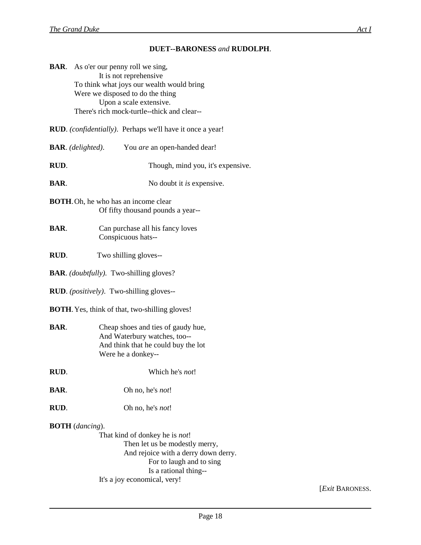#### **DUET--BARONESS** *and* **RUDOLPH**.

|      | <b>BAR.</b> As o'er our penny roll we sing,<br>It is not reprehensive |
|------|-----------------------------------------------------------------------|
|      | To think what joys our wealth would bring                             |
|      | Were we disposed to do the thing                                      |
|      | Upon a scale extensive.                                               |
|      | There's rich mock-turtle--thick and clear--                           |
|      | RUD. (confidentially). Perhaps we'll have it once a year!             |
|      | <b>BAR.</b> (delighted).<br>You are an open-handed dear!              |
| RUD. | Though, mind you, it's expensive.                                     |
| BAR. | No doubt it <i>is</i> expensive.                                      |
|      | <b>BOTH.</b> Oh, he who has an income clear                           |
|      | Of fifty thousand pounds a year--                                     |
| BAR. | Can purchase all his fancy loves                                      |
|      | Conspicuous hats--                                                    |
| RUD. | Two shilling gloves--                                                 |
|      | <b>BAR.</b> ( <i>doubtfully</i> ). Two-shilling gloves?               |
|      | <b>RUD.</b> ( <i>positively</i> ). Two-shilling gloves--              |
|      | <b>BOTH.</b> Yes, think of that, two-shilling gloves!                 |
| BAR. | Cheap shoes and ties of gaudy hue,                                    |
|      | And Waterbury watches, too--                                          |
|      | And think that he could buy the lot                                   |
|      | Were he a donkey--                                                    |
| RUD. | Which he's not!                                                       |
| BAR. | Oh no, he's <i>not</i> !                                              |
| RUD. | Oh no, he's <i>not</i> !                                              |
|      | <b>BOTH</b> (dancing).                                                |
|      | That kind of donkey he is not!                                        |
|      | Then let us be modestly merry,                                        |
|      | And rejoice with a derry down derry.                                  |
|      | For to laugh and to sing                                              |
|      | Is a rational thing--                                                 |
|      | It's a joy economical, very!                                          |

[*Exit* BARONESS.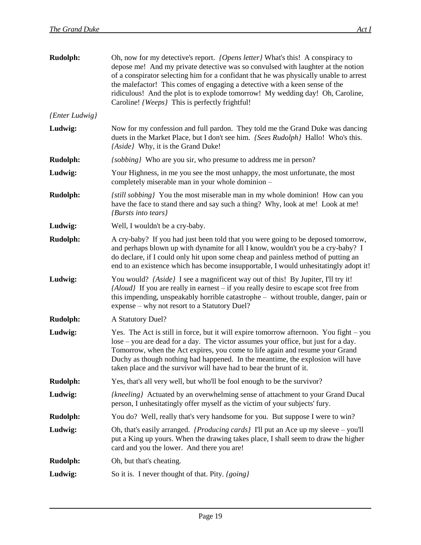| <b>Rudolph:</b>       | Oh, now for my detective's report. <i>{Opens letter}</i> What's this! A conspiracy to<br>depose me! And my private detective was so convulsed with laughter at the notion<br>of a conspirator selecting him for a confidant that he was physically unable to arrest<br>the malefactor! This comes of engaging a detective with a keen sense of the<br>ridiculous! And the plot is to explode tomorrow! My wedding day! Oh, Caroline,<br>Caroline! {Weeps} This is perfectly frightful! |
|-----------------------|----------------------------------------------------------------------------------------------------------------------------------------------------------------------------------------------------------------------------------------------------------------------------------------------------------------------------------------------------------------------------------------------------------------------------------------------------------------------------------------|
| <i>{Enter Ludwig}</i> |                                                                                                                                                                                                                                                                                                                                                                                                                                                                                        |
| Ludwig:               | Now for my confession and full pardon. They told me the Grand Duke was dancing<br>duets in the Market Place, but I don't see him. <i>{Sees Rudolph}</i> Hallo! Who's this.<br>{Aside} Why, it is the Grand Duke!                                                                                                                                                                                                                                                                       |
| <b>Rudolph:</b>       | (sobbing) Who are you sir, who presume to address me in person?                                                                                                                                                                                                                                                                                                                                                                                                                        |
| Ludwig:               | Your Highness, in me you see the most unhappy, the most unfortunate, the most<br>completely miserable man in your whole dominion -                                                                                                                                                                                                                                                                                                                                                     |
| <b>Rudolph:</b>       | <i>(still sobbing)</i> You the most miserable man in my whole dominion! How can you<br>have the face to stand there and say such a thing? Why, look at me! Look at me!<br><i>{Bursts into tears}</i>                                                                                                                                                                                                                                                                                   |
| Ludwig:               | Well, I wouldn't be a cry-baby.                                                                                                                                                                                                                                                                                                                                                                                                                                                        |
| <b>Rudolph:</b>       | A cry-baby? If you had just been told that you were going to be deposed tomorrow,<br>and perhaps blown up with dynamite for all I know, wouldn't you be a cry-baby? I<br>do declare, if I could only hit upon some cheap and painless method of putting an<br>end to an existence which has become insupportable, I would unhesitatingly adopt it!                                                                                                                                     |
| Ludwig:               | You would? {Aside} I see a magnificent way out of this! By Jupiter, I'll try it!<br><i>{Aloud}</i> If you are really in earnest – if you really desire to escape scot free from<br>this impending, unspeakably horrible catastrophe - without trouble, danger, pain or<br>expense – why not resort to a Statutory Duel?                                                                                                                                                                |
| <b>Rudolph:</b>       | A Statutory Duel?                                                                                                                                                                                                                                                                                                                                                                                                                                                                      |
| Ludwig:               | Yes. The Act is still in force, but it will expire tomorrow afternoon. You fight – you<br>lose - you are dead for a day. The victor assumes your office, but just for a day.<br>Tomorrow, when the Act expires, you come to life again and resume your Grand<br>Duchy as though nothing had happened. In the meantime, the explosion will have<br>taken place and the survivor will have had to bear the brunt of it.                                                                  |
| <b>Rudolph:</b>       | Yes, that's all very well, but who'll be fool enough to be the survivor?                                                                                                                                                                                                                                                                                                                                                                                                               |
| Ludwig:               | <i>(kneeling)</i> Actuated by an overwhelming sense of attachment to your Grand Ducal<br>person, I unhesitatingly offer myself as the victim of your subjects' fury.                                                                                                                                                                                                                                                                                                                   |
| <b>Rudolph:</b>       | You do? Well, really that's very handsome for you. But suppose I were to win?                                                                                                                                                                                                                                                                                                                                                                                                          |
| Ludwig:               | Oh, that's easily arranged. <i>{Producing cards}</i> I'll put an Ace up my sleeve – you'll<br>put a King up yours. When the drawing takes place, I shall seem to draw the higher<br>card and you the lower. And there you are!                                                                                                                                                                                                                                                         |
| <b>Rudolph:</b>       | Oh, but that's cheating.                                                                                                                                                                                                                                                                                                                                                                                                                                                               |
| Ludwig:               | So it is. I never thought of that. Pity. {going}                                                                                                                                                                                                                                                                                                                                                                                                                                       |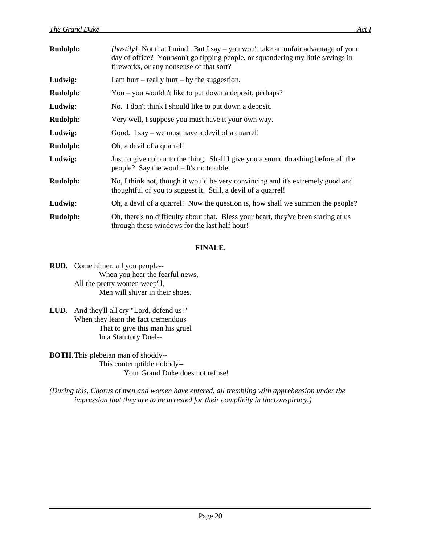| <b>Rudolph:</b> | <i>{hastily}</i> Not that I mind. But I say – you won't take an unfair advantage of your<br>day of office? You won't go tipping people, or squandering my little savings in<br>fireworks, or any nonsense of that sort? |
|-----------------|-------------------------------------------------------------------------------------------------------------------------------------------------------------------------------------------------------------------------|
| Ludwig:         | I am hurt – really hurt – by the suggestion.                                                                                                                                                                            |
| <b>Rudolph:</b> | You – you wouldn't like to put down a deposit, perhaps?                                                                                                                                                                 |
| Ludwig:         | No. I don't think I should like to put down a deposit.                                                                                                                                                                  |
| <b>Rudolph:</b> | Very well, I suppose you must have it your own way.                                                                                                                                                                     |
| Ludwig:         | Good. I say $-$ we must have a devil of a quarrel!                                                                                                                                                                      |
| <b>Rudolph:</b> | Oh, a devil of a quarrel!                                                                                                                                                                                               |
| Ludwig:         | Just to give colour to the thing. Shall I give you a sound thrashing before all the<br>people? Say the word – It's no trouble.                                                                                          |
| <b>Rudolph:</b> | No, I think not, though it would be very convincing and it's extremely good and<br>thoughtful of you to suggest it. Still, a devil of a quarrel!                                                                        |
| Ludwig:         | Oh, a devil of a quarrel! Now the question is, how shall we summon the people?                                                                                                                                          |
| <b>Rudolph:</b> | Oh, there's no difficulty about that. Bless your heart, they've been staring at us<br>through those windows for the last half hour!                                                                                     |

#### **FINALE**.

**RUD**. Come hither, all you people-- When you hear the fearful news, All the pretty women weep'll, Men will shiver in their shoes.

- **LUD**. And they'll all cry "Lord, defend us!" When they learn the fact tremendous That to give this man his gruel In a Statutory Duel--
- **BOTH**.This plebeian man of shoddy-- This contemptible nobody-- Your Grand Duke does not refuse!

*(During this, Chorus of men and women have entered, all trembling with apprehension under the impression that they are to be arrested for their complicity in the conspiracy.)*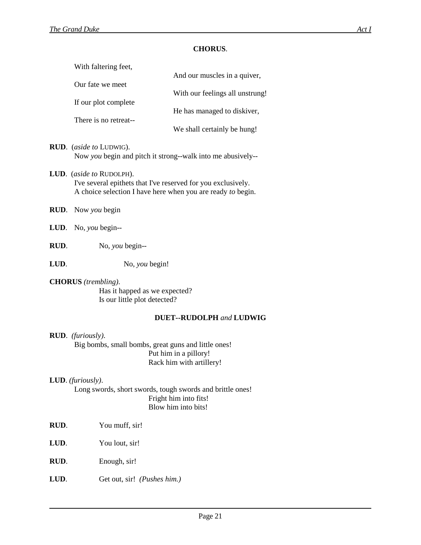## **CHORUS**.

| With faltering feet,  |                                 |
|-----------------------|---------------------------------|
|                       | And our muscles in a quiver,    |
| Our fate we meet      |                                 |
|                       | With our feelings all unstrung! |
| If our plot complete  |                                 |
|                       | He has managed to diskiver,     |
| There is no retreat-- |                                 |
|                       | We shall certainly be hung!     |
|                       |                                 |

- **RUD**. (*aside to* LUDWIG). Now *you* begin and pitch it strong--walk into me abusively--
- **LUD**. (*aside to* RUDOLPH). I've several epithets that I've reserved for you exclusively. A choice selection I have here when you are ready *to* begin.
- **RUD**. Now *you* begin
- **LUD**. No, *you* begin--
- **RUD**. No, *you* begin--
- **LUD**. No, *you* begin!
- **CHORUS** *(trembling)*. Has it happed as we expected? Is our little plot detected?

## **DUET--RUDOLPH** *and* **LUDWIG**

#### **RUD**. *(furiously)*.

Big bombs, small bombs, great guns and little ones! Put him in a pillory! Rack him with artillery!

## **LUD**. *(furiously)*.

Long swords, short swords, tough swords and brittle ones! Fright him into fits! Blow him into bits!

- **RUD**. You muff, sir!
- **LUD**. You lout, sir!
- **RUD**. Enough, sir!
- **LUD**. Get out, sir! *(Pushes him.)*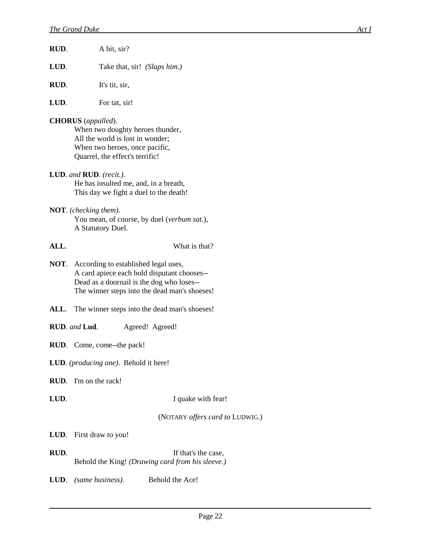| RUD. | A hit, sir?                                                                                                                                                                            |
|------|----------------------------------------------------------------------------------------------------------------------------------------------------------------------------------------|
| LUD. | Take that, sir! (Slaps him.)                                                                                                                                                           |
| RUD. | It's tit, sir,                                                                                                                                                                         |
| LUD. | For tat, sir!                                                                                                                                                                          |
|      | <b>CHORUS</b> (appalled).<br>When two doughty heroes thunder,<br>All the world is lost in wonder;<br>When two heroes, once pacific,<br>Quarrel, the effect's terrific!                 |
|      | LUD. and RUD. (recit.).<br>He has insulted me, and, in a breath,<br>This day we fight a duel to the death!                                                                             |
|      | <b>NOT.</b> (checking them).<br>You mean, of course, by duel (verbum sat.),<br>A Statutory Duel.                                                                                       |
| ALL. | What is that?                                                                                                                                                                          |
|      | NOT. According to established legal uses,<br>A card apiece each bold disputant chooses--<br>Dead as a doornail is the dog who loses--<br>The winner steps into the dead man's shoeses! |
|      | ALL. The winner steps into the dead man's shoeses!                                                                                                                                     |
|      | RUD. and Lud.<br>Agreed! Agreed!                                                                                                                                                       |
|      | <b>RUD.</b> Come, come--the pack!                                                                                                                                                      |
|      | LUD. (producing one). Behold it here!                                                                                                                                                  |
|      | <b>RUD.</b> I'm on the rack!                                                                                                                                                           |
| LUD. | I quake with fear!                                                                                                                                                                     |
|      | (NOTARY offers card to LUDWIG.)                                                                                                                                                        |
|      | <b>LUD.</b> First draw to you!                                                                                                                                                         |
| RUD. | If that's the case,<br>Behold the King! (Drawing card from his sleeve.)                                                                                                                |
|      | <b>LUD.</b> (same business).<br>Behold the Ace!                                                                                                                                        |
|      |                                                                                                                                                                                        |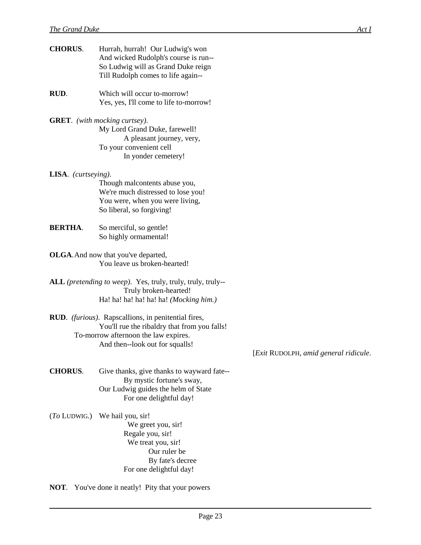| <b>CHORUS.</b>      | Hurrah, hurrah! Our Ludwig's won<br>And wicked Rudolph's course is run--<br>So Ludwig will as Grand Duke reign<br>Till Rudolph comes to life again--                                                                                                                                                            |
|---------------------|-----------------------------------------------------------------------------------------------------------------------------------------------------------------------------------------------------------------------------------------------------------------------------------------------------------------|
| RUD.                | Which will occur to-morrow!<br>Yes, yes, I'll come to life to-morrow!                                                                                                                                                                                                                                           |
|                     | <b>GRET.</b> (with mocking curtsey).<br>My Lord Grand Duke, farewell!<br>A pleasant journey, very,<br>To your convenient cell<br>In yonder cemetery!                                                                                                                                                            |
| LISA. (curtseying). | Though malcontents abuse you,<br>We're much distressed to lose you!<br>You were, when you were living,<br>So liberal, so forgiving!                                                                                                                                                                             |
| <b>BERTHA.</b>      | So merciful, so gentle!<br>So highly ormamental!                                                                                                                                                                                                                                                                |
|                     | <b>OLGA.</b> And now that you've departed,<br>You leave us broken-hearted!                                                                                                                                                                                                                                      |
|                     | ALL (pretending to weep). Yes, truly, truly, truly, truly--<br>Truly broken-hearted!<br>Ha! ha! ha! ha! ha! ha! (Mocking him.)<br>RUD. (furious). Rapscallions, in penitential fires,<br>You'll rue the ribaldry that from you falls!<br>To-morrow afternoon the law expires.<br>And then-look out for squalls! |
| <b>CHORUS.</b>      | Give thanks, give thanks to wayward fate--<br>By mystic fortune's sway,<br>Our Ludwig guides the helm of State<br>For one delightful day!                                                                                                                                                                       |
|                     | (To LUDWIG.) We hail you, sir!<br>We greet you, sir!<br>Regale you, sir!<br>We treat you, sir!<br>Our ruler be<br>By fate's decree                                                                                                                                                                              |

**NOT**. You've done it neatly! Pity that your powers

For one delightful day!

[*Exit* RUDOLPH, *amid general ridicule*.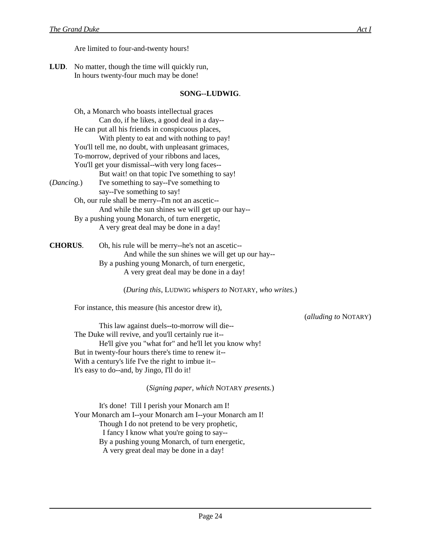Are limited to four-and-twenty hours!

**LUD.** No matter, though the time will quickly run, In hours twenty-four much may be done!

#### **SONG--LUDWIG**.

|                                                | Oh, a Monarch who boasts intellectual graces        |
|------------------------------------------------|-----------------------------------------------------|
|                                                | Can do, if he likes, a good deal in a day--         |
|                                                | He can put all his friends in conspicuous places,   |
|                                                | With plenty to eat and with nothing to pay!         |
|                                                | You'll tell me, no doubt, with unpleasant grimaces, |
|                                                | To-morrow, deprived of your ribbons and laces,      |
|                                                | You'll get your dismissal--with very long faces--   |
|                                                | But wait! on that topic I've something to say!      |
| (Dancing.)                                     | I've something to say--I've something to            |
|                                                | say--I've something to say!                         |
|                                                | Oh, our rule shall be merry--I'm not an ascetic--   |
|                                                | And while the sun shines we will get up our hay--   |
| By a pushing young Monarch, of turn energetic, |                                                     |
|                                                | A very great deal may be done in a day!             |
| <b>CHORUS.</b>                                 | Oh, his rule will be merry--he's not an ascetic--   |
|                                                | And while the sun shines we will get up our hay--   |
|                                                |                                                     |
|                                                | By a pushing young Monarch, of turn energetic,      |
|                                                | A very great deal may be done in a day!             |

(*During this*, LUDWIG *whispers to* NOTARY, *who writes.*)

For instance, this measure (his ancestor drew it),

(*alluding to* NOTARY)

This law against duels--to-morrow will die-- The Duke will revive, and you'll certainly rue it-- He'll give you "what for" and he'll let you know why! But in twenty-four hours there's time to renew it-- With a century's life I've the right to imbue it-- It's easy to do--and, by Jingo, I'll do it!

(*Signing paper, which* NOTARY *presents.*)

It's done! Till I perish your Monarch am I! Your Monarch am I--your Monarch am I--your Monarch am I! Though I do not pretend to be very prophetic, I fancy I know what you're going to say-- By a pushing young Monarch, of turn energetic, A very great deal may be done in a day!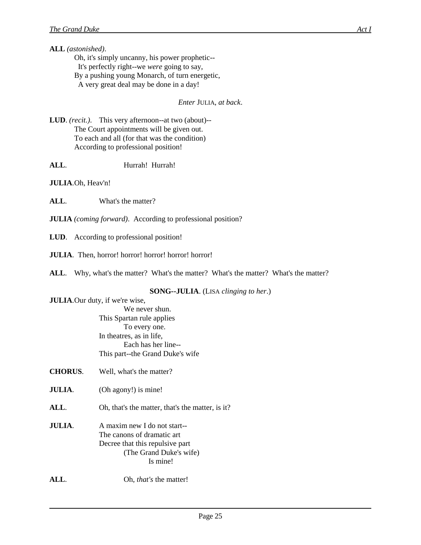**ALL** *(astonished)*.

Oh, it's simply uncanny, his power prophetic-- It's perfectly right--we *were* going to say, By a pushing young Monarch, of turn energetic, A very great deal may be done in a day!

#### *Enter* JULIA, *at back*.

**LUD**. *(recit.)*. This very afternoon--at two (about)-- The Court appointments will be given out. To each and all (for that was the condition) According to professional position!

ALL. **Hurrah!** Hurrah!

**JULIA**.Oh, Heav'n!

**ALL**. What's the matter?

- **JULIA** *(coming forward)*. According to professional position?
- **LUD**. According to professional position!
- **JULIA**. Then, horror! horror! horror! horror! horror!

**ALL**. Why, what's the matter? What's the matter? What's the matter? What's the matter?

#### **SONG--JULIA**. (LISA *clinging to her*.)

#### **JULIA**.Our duty, if we're wise,

We never shun. This Spartan rule applies To every one. In theatres, as in life, Each has her line-- This part--the Grand Duke's wife

**CHORUS**. Well, what's the matter?

**JULIA.** (Oh agony!) is mine!

- ALL. Oh, that's the matter, that's the matter, is it?
- **JULIA.** A maxim new I do not start--The canons of dramatic art Decree that this repulsive part (The Grand Duke's wife) Is mine!

**ALL**. Oh, *that's* the matter!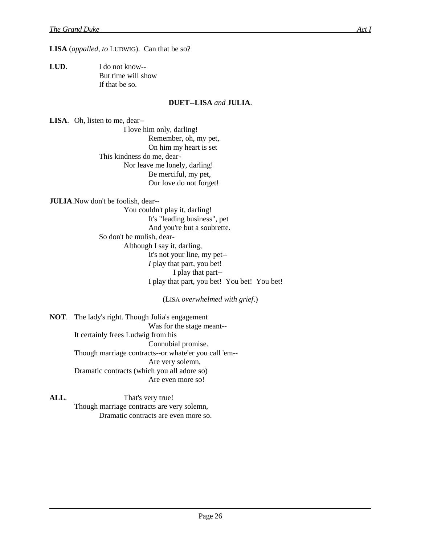**LUD.** I do not know--But time will show If that be so.

#### **DUET--LISA** *and* **JULIA**.

**LISA**. Oh, listen to me, dear-- I love him only, darling! Remember, oh, my pet, On him my heart is set This kindness do me, dear-Nor leave me lonely, darling! Be merciful, my pet, Our love do not forget!

**JULIA**.Now don't be foolish, dear--

You couldn't play it, darling! It's "leading business", pet And you're but a soubrette. So don't be mulish, dear-Although I say it, darling, It's not your line, my pet-- *I* play that part, you bet! I play that part-- I play that part, you bet! You bet! You bet!

(LISA *overwhelmed with grief*.)

**NOT**. The lady's right. Though Julia's engagement Was for the stage meant-- It certainly frees Ludwig from his Connubial promise. Though marriage contracts--or whate'er you call 'em-- Are very solemn, Dramatic contracts (which you all adore so) Are even more so!

**ALL.** That's very true! Though marriage contracts are very solemn, Dramatic contracts are even more so.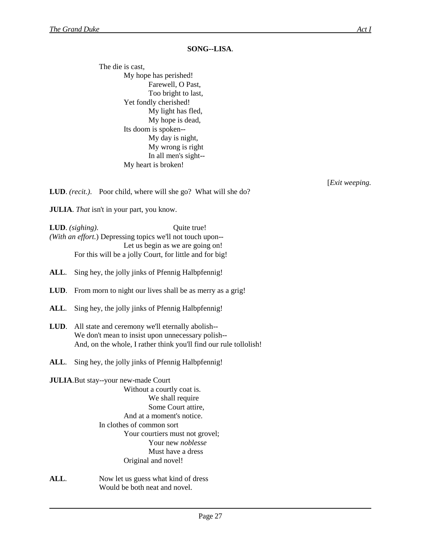## **SONG--LISA**.

The die is cast, My hope has perished! Farewell, O Past, Too bright to last, Yet fondly cherished! My light has fled, My hope is dead, Its doom is spoken-- My day is night, My wrong is right In all men's sight-- My heart is broken!

[*Exit weeping.*

**LUD**. *(recit.)*. Poor child, where will she go? What will she do?

**JULIA**. *That* isn't in your part, you know.

**LUD**. *(sighing)*. Quite true! *(With an effort.*) Depressing topics we'll not touch upon-- Let us begin as we are going on! For this will be a jolly Court, for little and for big!

**ALL**. Sing hey, the jolly jinks of Pfennig Halbpfennig!

**LUD**. From morn to night our lives shall be as merry as a grig!

- ALL. Sing hey, the jolly jinks of Pfennig Halbpfennig!
- **LUD**. All state and ceremony we'll eternally abolish-- We don't mean to insist upon unnecessary polish-- And, on the whole, I rather think you'll find our rule tollolish!
- **ALL**. Sing hey, the jolly jinks of Pfennig Halbpfennig!

**JULIA**.But stay--your new-made Court Without a courtly coat is. We shall require Some Court attire, And at a moment's notice. In clothes of common sort Your courtiers must not grovel; Your new *noblesse* Must have a dress Original and novel!

ALL. Now let us guess what kind of dress Would be both neat and novel.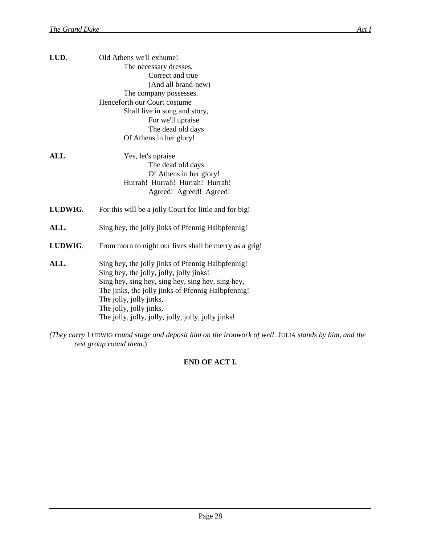*rest group round them*.)

| LUD.    | Old Athens we'll exhume!                                                                             |
|---------|------------------------------------------------------------------------------------------------------|
|         | The necessary dresses,                                                                               |
|         | Correct and true                                                                                     |
|         | (And all brand-new)                                                                                  |
|         | The company possesses.                                                                               |
|         | Henceforth our Court costume                                                                         |
|         | Shall live in song and story,                                                                        |
|         | For we'll upraise                                                                                    |
|         | The dead old days                                                                                    |
|         | Of Athens in her glory!                                                                              |
| ALL.    | Yes, let's upraise                                                                                   |
|         | The dead old days                                                                                    |
|         | Of Athens in her glory!                                                                              |
|         | Hurrah! Hurrah! Hurrah! Hurrah!                                                                      |
|         | Agreed! Agreed! Agreed!                                                                              |
| LUDWIG. | For this will be a jolly Court for little and for big!                                               |
| ALL.    | Sing hey, the jolly jinks of Pfennig Halbpfennig!                                                    |
| LUDWIG. | From morn to night our lives shall be merry as a grig!                                               |
| ALL.    | Sing hey, the jolly jinks of Pfennig Halbpfennig!                                                    |
|         | Sing hey, the jolly, jolly, jolly jinks!                                                             |
|         | Sing hey, sing hey, sing hey, sing hey, sing hey,                                                    |
|         | The jinks, the jolly jinks of Pfennig Halbpfennig!                                                   |
|         | The jolly, jolly jinks,                                                                              |
|         | The jolly, jolly jinks,                                                                              |
|         | The jolly, jolly, jolly, jolly, jolly, jolly jinks!                                                  |
|         | (They carry LUDWIG round stage and deposit him on the ironwork of well. JULIA stands by him, and the |
|         |                                                                                                      |

#### **END OF ACT I.**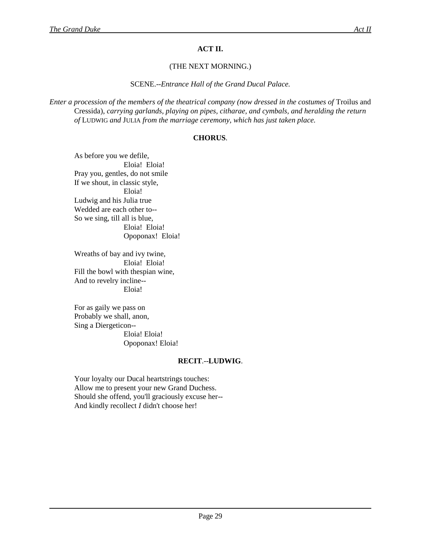## **ACT II.**

## (THE NEXT MORNING.)

SCENE.--*Entrance Hall of the Grand Ducal Palace.*

*Enter a procession of the members of the theatrical company (now dressed in the costumes of* Troilus and Cressida), *carrying garlands, playing on pipes, citharae, and cymbals, and heralding the return of* LUDWIG *and* JULIA *from the marriage ceremony, which has just taken place.*

## **CHORUS**.

As before you we defile, Eloia! Eloia! Pray you, gentles, do not smile If we shout, in classic style, Eloia! Ludwig and his Julia true Wedded are each other to-- So we sing, till all is blue, Eloia! Eloia! Opoponax! Eloia!

Wreaths of bay and ivy twine, Eloia! Eloia! Fill the bowl with thespian wine, And to revelry incline-- Eloia!

For as gaily we pass on Probably we shall, anon, Sing a Diergeticon-- Eloia! Eloia! Opoponax! Eloia!

## **RECIT**.--**LUDWIG**.

Your loyalty our Ducal heartstrings touches: Allow me to present your new Grand Duchess. Should she offend, you'll graciously excuse her-- And kindly recollect *I* didn't choose her!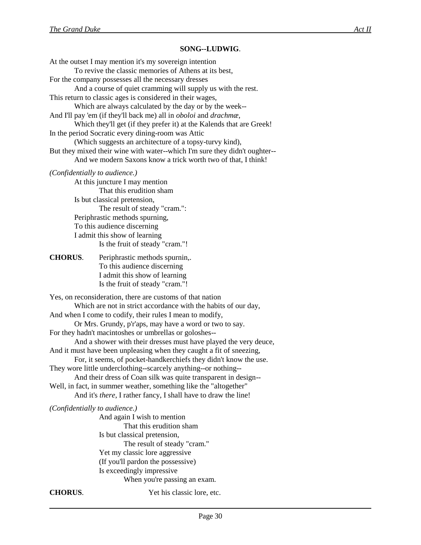|                | At the outset I may mention it's my sovereign intention                         |
|----------------|---------------------------------------------------------------------------------|
|                | To revive the classic memories of Athens at its best,                           |
|                | For the company possesses all the necessary dresses                             |
|                | And a course of quiet cramming will supply us with the rest.                    |
|                | This return to classic ages is considered in their wages,                       |
|                | Which are always calculated by the day or by the week--                         |
|                | And I'll pay 'em (if they'll back me) all in <i>oboloi</i> and <i>drachma</i> , |
|                | Which they'll get (if they prefer it) at the Kalends that are Greek!            |
|                | In the period Socratic every dining-room was Attic                              |
|                | (Which suggests an architecture of a topsy-turvy kind),                         |
|                | But they mixed their wine with water--which I'm sure they didn't oughter--      |
|                | And we modern Saxons know a trick worth two of that, I think!                   |
|                | (Confidentially to audience.)                                                   |
|                | At this juncture I may mention                                                  |
|                | That this erudition sham                                                        |
|                | Is but classical pretension,                                                    |
|                | The result of steady "cram.":                                                   |
|                | Periphrastic methods spurning,                                                  |
|                | To this audience discerning                                                     |
|                | I admit this show of learning                                                   |
|                | Is the fruit of steady "cram."!                                                 |
| <b>CHORUS.</b> | Periphrastic methods spurnin,.                                                  |
|                | To this audience discerning                                                     |
|                | I admit this show of learning                                                   |
|                | Is the fruit of steady "cram."!                                                 |

Yes, on reconsideration, there are customs of that nation Which are not in strict accordance with the habits of our day, And when I come to codify, their rules I mean to modify, Or Mrs. Grundy, p'r'aps, may have a word or two to say. For they hadn't macintoshes or umbrellas or goloshes-- And a shower with their dresses must have played the very deuce, And it must have been unpleasing when they caught a fit of sneezing, For, it seems, of pocket-handkerchiefs they didn't know the use. They wore little underclothing--scarcely anything--or nothing-- And their dress of Coan silk was quite transparent in design-- Well, in fact, in summer weather, something like the "altogether" And it's *there*, I rather fancy, I shall have to draw the line! *(Confidentially to audience.)* And again I wish to mention That this erudition sham Is but classical pretension, The result of steady "cram." Yet my classic lore aggressive (If you'll pardon the possessive) Is exceedingly impressive When you're passing an exam.

**CHORUS**. Yet his classic lore, etc.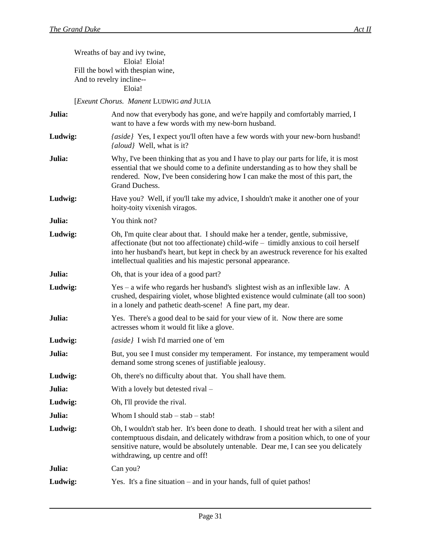|         | Wreaths of bay and ivy twine,                                                                                                                                                                                                                                                                                                    |
|---------|----------------------------------------------------------------------------------------------------------------------------------------------------------------------------------------------------------------------------------------------------------------------------------------------------------------------------------|
|         | Eloia! Eloia!<br>Fill the bowl with thespian wine,                                                                                                                                                                                                                                                                               |
|         | And to revelry incline--<br>Eloia!                                                                                                                                                                                                                                                                                               |
|         | [Exeunt Chorus. Manent LUDWIG and JULIA                                                                                                                                                                                                                                                                                          |
| Julia:  | And now that everybody has gone, and we're happily and comfortably married, I<br>want to have a few words with my new-born husband.                                                                                                                                                                                              |
| Ludwig: | <i>{aside}</i> Yes, I expect you'll often have a few words with your new-born husband!<br><i>{aloud}</i> Well, what is it?                                                                                                                                                                                                       |
| Julia:  | Why, I've been thinking that as you and I have to play our parts for life, it is most<br>essential that we should come to a definite understanding as to how they shall be<br>rendered. Now, I've been considering how I can make the most of this part, the<br>Grand Duchess.                                                   |
| Ludwig: | Have you? Well, if you'll take my advice, I shouldn't make it another one of your<br>hoity-toity vixenish viragos.                                                                                                                                                                                                               |
| Julia:  | You think not?                                                                                                                                                                                                                                                                                                                   |
| Ludwig: | Oh, I'm quite clear about that. I should make her a tender, gentle, submissive,<br>affectionate (but not too affectionate) child-wife - timidly anxious to coil herself<br>into her husband's heart, but kept in check by an awestruck reverence for his exalted<br>intellectual qualities and his majestic personal appearance. |
| Julia:  | Oh, that is your idea of a good part?                                                                                                                                                                                                                                                                                            |
| Ludwig: | $Yes - a$ wife who regards her husband's slightest wish as an inflexible law. A<br>crushed, despairing violet, whose blighted existence would culminate (all too soon)<br>in a lonely and pathetic death-scene! A fine part, my dear.                                                                                            |
| Julia:  | Yes. There's a good deal to be said for your view of it. Now there are some<br>actresses whom it would fit like a glove.                                                                                                                                                                                                         |
| Ludwig: | <i>{aside}</i> I wish I'd married one of 'em                                                                                                                                                                                                                                                                                     |
| Julia:  | But, you see I must consider my temperament. For instance, my temperament would<br>demand some strong scenes of justifiable jealousy.                                                                                                                                                                                            |
| Ludwig: | Oh, there's no difficulty about that. You shall have them.                                                                                                                                                                                                                                                                       |
| Julia:  | With a lovely but detested rival -                                                                                                                                                                                                                                                                                               |
| Ludwig: | Oh, I'll provide the rival.                                                                                                                                                                                                                                                                                                      |
| Julia:  | Whom I should $stab - stab$ - stab!                                                                                                                                                                                                                                                                                              |
| Ludwig: | Oh, I wouldn't stab her. It's been done to death. I should treat her with a silent and<br>contemptuous disdain, and delicately withdraw from a position which, to one of your<br>sensitive nature, would be absolutely untenable. Dear me, I can see you delicately<br>withdrawing, up centre and off!                           |
| Julia:  | Can you?                                                                                                                                                                                                                                                                                                                         |
| Ludwig: | Yes. It's a fine situation – and in your hands, full of quiet pathos!                                                                                                                                                                                                                                                            |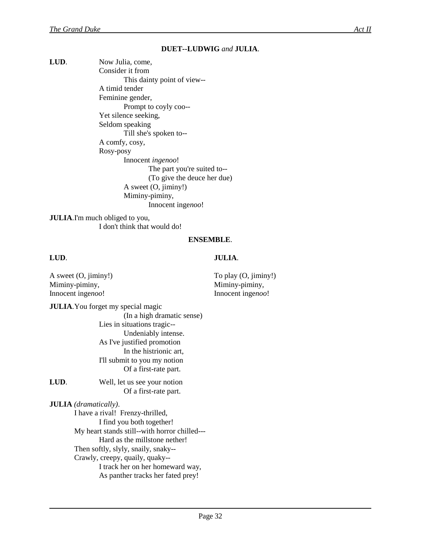#### **DUET--LUDWIG** *and* **JULIA**.

**LUD**. Now Julia, come, Consider it from This dainty point of view-- A timid tender Feminine gender, Prompt to coyly coo-- Yet silence seeking, Seldom speaking Till she's spoken to-- A comfy, cosy, Rosy-posy Innocent *ingenoo*! The part you're suited to-- (To give the deuce her due) A sweet (O, jiminy!) Miminy-piminy, Innocent inge*noo*! **JULIA**.I'm much obliged to you,

I don't think that would do!

#### **ENSEMBLE**.

## **LUD**. **JULIA**.

| A sweet $(O, jiminy!)$<br>Miminy-piminy,<br>Innocent ingenoo! |                                               | To play (O, jiminy!)<br>Miminy-piminy,<br>Innocent ingenoo! |
|---------------------------------------------------------------|-----------------------------------------------|-------------------------------------------------------------|
|                                                               | <b>JULIA</b> . You forget my special magic    |                                                             |
|                                                               | (In a high dramatic sense)                    |                                                             |
|                                                               | Lies in situations tragic--                   |                                                             |
|                                                               | Undeniably intense.                           |                                                             |
|                                                               | As I've justified promotion                   |                                                             |
|                                                               | In the histrionic art,                        |                                                             |
|                                                               | I'll submit to you my notion                  |                                                             |
|                                                               | Of a first-rate part.                         |                                                             |
| LUD.                                                          | Well, let us see your notion                  |                                                             |
|                                                               | Of a first-rate part.                         |                                                             |
| <b>JULIA</b> (dramatically).                                  |                                               |                                                             |
|                                                               | I have a rival! Frenzy-thrilled,              |                                                             |
|                                                               | I find you both together!                     |                                                             |
|                                                               | My heart stands still--with horror chilled--- |                                                             |
|                                                               | Hard as the millstone nether!                 |                                                             |
|                                                               | Then softly, slyly, snaily, snaky--           |                                                             |
|                                                               | Crawly, creepy, quaily, quaky--               |                                                             |
|                                                               | I track her on her homeward way,              |                                                             |
|                                                               | As panther tracks her fated prey!             |                                                             |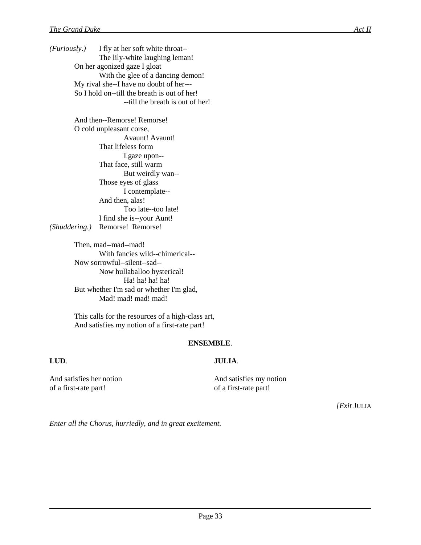*(Furiously.)* I fly at her soft white throat-- The lily-white laughing leman! On her agonized gaze I gloat With the glee of a dancing demon! My rival she--I have no doubt of her--- So I hold on--till the breath is out of her! --till the breath is out of her!

And then--Remorse! Remorse! O cold unpleasant corse, Avaunt! Avaunt! That lifeless form I gaze upon-- That face, still warm But weirdly wan-- Those eyes of glass I contemplate-- And then, alas! Too late--too late! I find she is--your Aunt! *(Shuddering.)* Remorse! Remorse!

> Then, mad--mad--mad! With fancies wild--chimerical-- Now sorrowful--silent--sad-- Now hullaballoo hysterical! Ha! ha! ha! ha! But whether I'm sad or whether I'm glad, Mad! mad! mad! mad!

This calls for the resources of a high-class art, And satisfies my notion of a first-rate part!

#### **ENSEMBLE**.

#### **LUD**. **JULIA**.

And satisfies her notion And satisfies my notion

of a first-rate part! of a first-rate part!

*[Exit* JULIA

*Enter all the Chorus, hurriedly, and in great excitement.*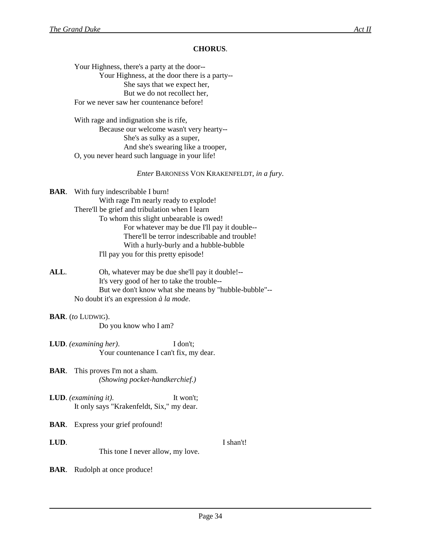## **CHORUS**.

Your Highness, there's a party at the door-- Your Highness, at the door there is a party-- She says that we expect her, But we do not recollect her, For we never saw her countenance before!

With rage and indignation she is rife, Because our welcome wasn't very hearty-- She's as sulky as a super, And she's swearing like a trooper, O, you never heard such language in your life!

#### *Enter* BARONESS VON KRAKENFELDT, *in a fury*.

**BAR**. With fury indescribable I burn! With rage I'm nearly ready to explode! There'll be grief and tribulation when I learn To whom this slight unbearable is owed! For whatever may be due I'll pay it double-- There'll be terror indescribable and trouble!

With a hurly-burly and a hubble-bubble

I'll pay you for this pretty episode!

**ALL**. Oh, whatever may be due she'll pay it double!-- It's very good of her to take the trouble-- But we don't know what she means by "hubble-bubble"-- No doubt it's an expression *à la mode*.

#### **BAR**. (*to* LUDWIG). Do you know who I am?

**LUD**. *(examining her)*. I don't; Your countenance I can't fix, my dear.

**BAR**. This proves I'm not a sham. *(Showing pocket-handkerchief.)*

- **LUD**. *(examining it)*. It won't; It only says "Krakenfeldt, Six," my dear.
- **BAR**. Express your grief profound!
- **LUD**. I shan't!

This tone I never allow, my love.

**BAR**. Rudolph at once produce!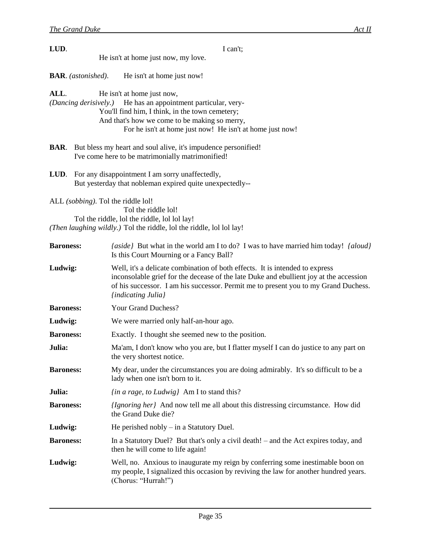| LUD. |                                     | I can't: |
|------|-------------------------------------|----------|
|      | He isn't at home just now, my love. |          |

**BAR**. *(astonished)*. He isn't at home just now!

**ALL.** He isn't at home just now,

*(Dancing derisively.)* He has an appointment particular, very-You'll find him, I think, in the town cemetery; And that's how we come to be making so merry, For he isn't at home just now! He isn't at home just now!

- **BAR**. But bless my heart and soul alive, it's impudence personified! I've come here to be matrimonially matrimonified!
- **LUD**. For any disappointment I am sorry unaffectedly, But yesterday that nobleman expired quite unexpectedly--

ALL *(sobbing)*. Tol the riddle lol! Tol the riddle lol! Tol the riddle, lol the riddle, lol lol lay! *(Then laughing wildly.)* Tol the riddle, lol the riddle, lol lol lay!

| <b>Baroness:</b> | <i>{aside}</i> But what in the world am I to do? I was to have married him today! <i>{aloud}</i><br>Is this Court Mourning or a Fancy Ball?                                                                                                                                                |
|------------------|--------------------------------------------------------------------------------------------------------------------------------------------------------------------------------------------------------------------------------------------------------------------------------------------|
| Ludwig:          | Well, it's a delicate combination of both effects. It is intended to express<br>inconsolable grief for the decease of the late Duke and ebullient joy at the accession<br>of his successor. I am his successor. Permit me to present you to my Grand Duchess.<br><i>{indicating Julia}</i> |
| <b>Baroness:</b> | <b>Your Grand Duchess?</b>                                                                                                                                                                                                                                                                 |
| Ludwig:          | We were married only half-an-hour ago.                                                                                                                                                                                                                                                     |
| <b>Baroness:</b> | Exactly. I thought she seemed new to the position.                                                                                                                                                                                                                                         |
| Julia:           | Ma'am, I don't know who you are, but I flatter myself I can do justice to any part on<br>the very shortest notice.                                                                                                                                                                         |
| <b>Baroness:</b> | My dear, under the circumstances you are doing admirably. It's so difficult to be a<br>lady when one isn't born to it.                                                                                                                                                                     |
| Julia:           | <i>{in a rage, to Ludwig}</i> Am I to stand this?                                                                                                                                                                                                                                          |
| <b>Baroness:</b> | <i>(Ignoring her)</i> And now tell me all about this distressing circumstance. How did<br>the Grand Duke die?                                                                                                                                                                              |
| Ludwig:          | He perished nobly $-$ in a Statutory Duel.                                                                                                                                                                                                                                                 |
| <b>Baroness:</b> | In a Statutory Duel? But that's only a civil death! – and the Act expires today, and<br>then he will come to life again!                                                                                                                                                                   |
| Ludwig:          | Well, no. Anxious to inaugurate my reign by conferring some inestimable boon on<br>my people, I signalized this occasion by reviving the law for another hundred years.<br>(Chorus: "Hurrah!")                                                                                             |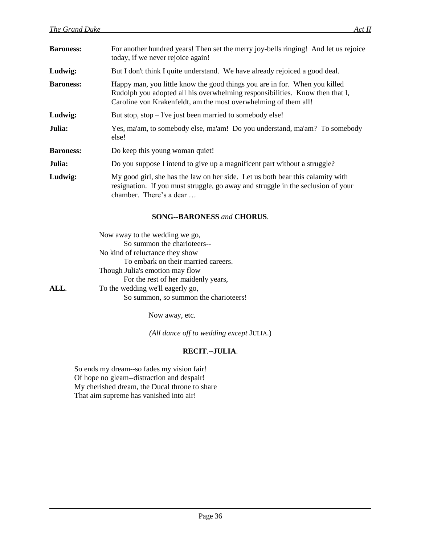| <b>Baroness:</b> | For another hundred years! Then set the merry joy-bells ringing! And let us rejoice<br>today, if we never rejoice again!                                                                                                      |
|------------------|-------------------------------------------------------------------------------------------------------------------------------------------------------------------------------------------------------------------------------|
| Ludwig:          | But I don't think I quite understand. We have already rejoiced a good deal.                                                                                                                                                   |
| <b>Baroness:</b> | Happy man, you little know the good things you are in for. When you killed<br>Rudolph you adopted all his overwhelming responsibilities. Know then that I,<br>Caroline von Krakenfeldt, am the most overwhelming of them all! |
| Ludwig:          | But stop, $stop - I've$ just been married to somebody else!                                                                                                                                                                   |
| Julia:           | Yes, ma'am, to somebody else, ma'am! Do you understand, ma'am? To somebody<br>else!                                                                                                                                           |
| <b>Baroness:</b> | Do keep this young woman quiet!                                                                                                                                                                                               |
| Julia:           | Do you suppose I intend to give up a magnificent part without a struggle?                                                                                                                                                     |
| Ludwig:          | My good girl, she has the law on her side. Let us both bear this calamity with<br>resignation. If you must struggle, go away and struggle in the seclusion of your<br>chamber. There's a dear                                 |

#### **SONG--BARONESS** *and* **CHORUS**.

|      | Now away to the wedding we go,        |
|------|---------------------------------------|
|      | So summon the charioteers--           |
|      | No kind of reluctance they show       |
|      | To embark on their married careers.   |
|      | Though Julia's emotion may flow       |
|      | For the rest of her maidenly years,   |
| ALL. | To the wedding we'll eagerly go,      |
|      | So summon, so summon the charioteers! |
|      |                                       |

Now away, etc.

*(All dance off to wedding except* JULIA.)

## **RECIT**.--**JULIA**.

So ends my dream--so fades my vision fair! Of hope no gleam--distraction and despair! My cherished dream, the Ducal throne to share That aim supreme has vanished into air!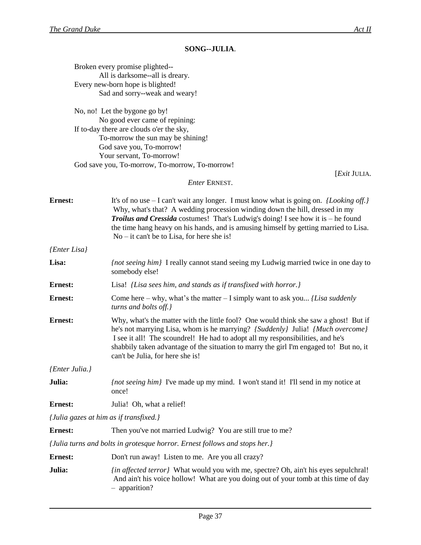## **SONG--JULIA**.

|                                                                     | Broken every promise plighted--                                                                                                                                                                                                                                                                                                                                                                                     |  |
|---------------------------------------------------------------------|---------------------------------------------------------------------------------------------------------------------------------------------------------------------------------------------------------------------------------------------------------------------------------------------------------------------------------------------------------------------------------------------------------------------|--|
| All is darksome--all is dreary.<br>Every new-born hope is blighted! |                                                                                                                                                                                                                                                                                                                                                                                                                     |  |
|                                                                     | Sad and sorry--weak and weary!                                                                                                                                                                                                                                                                                                                                                                                      |  |
|                                                                     |                                                                                                                                                                                                                                                                                                                                                                                                                     |  |
|                                                                     | No, no! Let the bygone go by!                                                                                                                                                                                                                                                                                                                                                                                       |  |
|                                                                     | No good ever came of repining:                                                                                                                                                                                                                                                                                                                                                                                      |  |
|                                                                     | If to-day there are clouds o'er the sky,                                                                                                                                                                                                                                                                                                                                                                            |  |
|                                                                     | To-morrow the sun may be shining!                                                                                                                                                                                                                                                                                                                                                                                   |  |
|                                                                     | God save you, To-morrow!<br>Your servant, To-morrow!                                                                                                                                                                                                                                                                                                                                                                |  |
|                                                                     | God save you, To-morrow, To-morrow, To-morrow!                                                                                                                                                                                                                                                                                                                                                                      |  |
|                                                                     | [Exit JULIA.]                                                                                                                                                                                                                                                                                                                                                                                                       |  |
|                                                                     | Enter ERNEST.                                                                                                                                                                                                                                                                                                                                                                                                       |  |
| <b>Ernest:</b>                                                      | It's of no use $-$ I can't wait any longer. I must know what is going on. <i>{Looking off.}</i><br>Why, what's that? A wedding procession winding down the hill, dressed in my<br><b>Troilus and Cressida</b> costumes! That's Ludwig's doing! I see how it is $-$ he found<br>the time hang heavy on his hands, and is amusing himself by getting married to Lisa.<br>$No$ – it can't be to Lisa, for here she is! |  |
| <i>{Enter Lisa}</i>                                                 |                                                                                                                                                                                                                                                                                                                                                                                                                     |  |
| Lisa:                                                               | <i>{not seeing him}</i> I really cannot stand seeing my Ludwig married twice in one day to<br>somebody else!                                                                                                                                                                                                                                                                                                        |  |
| <b>Ernest:</b>                                                      | Lisa! {Lisa sees him, and stands as if transfixed with horror.}                                                                                                                                                                                                                                                                                                                                                     |  |
| <b>Ernest:</b>                                                      | Come here – why, what's the matter – I simply want to ask you <i>{Lisa suddenly</i><br>turns and bolts off.}                                                                                                                                                                                                                                                                                                        |  |
| <b>Ernest:</b>                                                      | Why, what's the matter with the little fool? One would think she saw a ghost! But if<br>he's not marrying Lisa, whom is he marrying? {Suddenly} Julia! {Much overcome}<br>I see it all! The scoundrel! He had to adopt all my responsibilities, and he's<br>shabbily taken advantage of the situation to marry the girl I'm engaged to! But no, it<br>can't be Julia, for here she is!                              |  |
| {Enter Julia.}                                                      |                                                                                                                                                                                                                                                                                                                                                                                                                     |  |
| Julia:                                                              | <i>{not seeing him}</i> I've made up my mind. I won't stand it! I'll send in my notice at<br>once!                                                                                                                                                                                                                                                                                                                  |  |
| <b>Ernest:</b>                                                      | Julia! Oh, what a relief!                                                                                                                                                                                                                                                                                                                                                                                           |  |
| {Julia gazes at him as if transfixed.}                              |                                                                                                                                                                                                                                                                                                                                                                                                                     |  |
| <b>Ernest:</b>                                                      | Then you've not married Ludwig? You are still true to me?                                                                                                                                                                                                                                                                                                                                                           |  |
|                                                                     | {Julia turns and bolts in grotesque horror. Ernest follows and stops her.}                                                                                                                                                                                                                                                                                                                                          |  |
| <b>Ernest:</b>                                                      | Don't run away! Listen to me. Are you all crazy?                                                                                                                                                                                                                                                                                                                                                                    |  |
| Julia:                                                              | <i>(in affected terror)</i> What would you with me, spectre? Oh, ain't his eyes sepulchral!<br>And ain't his voice hollow! What are you doing out of your tomb at this time of day<br>- apparition?                                                                                                                                                                                                                 |  |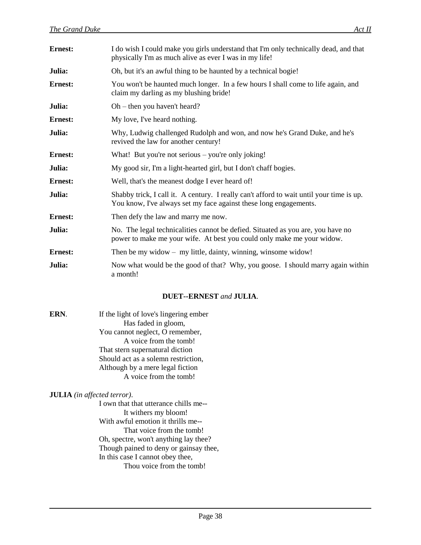| <b>Ernest:</b> | I do wish I could make you girls understand that I'm only technically dead, and that<br>physically I'm as much alive as ever I was in my life!                |
|----------------|---------------------------------------------------------------------------------------------------------------------------------------------------------------|
| Julia:         | Oh, but it's an awful thing to be haunted by a technical bogie!                                                                                               |
| <b>Ernest:</b> | You won't be haunted much longer. In a few hours I shall come to life again, and<br>claim my darling as my blushing bride!                                    |
| Julia:         | $Oh$ – then you haven't heard?                                                                                                                                |
| <b>Ernest:</b> | My love, I've heard nothing.                                                                                                                                  |
| Julia:         | Why, Ludwig challenged Rudolph and won, and now he's Grand Duke, and he's<br>revived the law for another century!                                             |
| <b>Ernest:</b> | What! But you're not serious – you're only joking!                                                                                                            |
| Julia:         | My good sir, I'm a light-hearted girl, but I don't chaff bogies.                                                                                              |
| <b>Ernest:</b> | Well, that's the meanest dodge I ever heard of!                                                                                                               |
| Julia:         | Shabby trick, I call it. A century. I really can't afford to wait until your time is up.<br>You know, I've always set my face against these long engagements. |
| <b>Ernest:</b> | Then defy the law and marry me now.                                                                                                                           |
| Julia:         | No. The legal technicalities cannot be defied. Situated as you are, you have no<br>power to make me your wife. At best you could only make me your widow.     |
| <b>Ernest:</b> | Then be my widow $-$ my little, dainty, winning, winsome widow!                                                                                               |
| Julia:         | Now what would be the good of that? Why, you goose. I should marry again within<br>a month!                                                                   |

#### **DUET--ERNEST** *and* **JULIA**.

**ERN.** If the light of love's lingering ember Has faded in gloom, You cannot neglect, O remember, A voice from the tomb! That stern supernatural diction Should act as a solemn restriction, Although by a mere legal fiction A voice from the tomb!

#### **JULIA** *(in affected terror)*.

I own that that utterance chills me-- It withers my bloom! With awful emotion it thrills me-- That voice from the tomb! Oh, spectre, won't anything lay thee? Though pained to deny or gainsay thee, In this case I cannot obey thee, Thou voice from the tomb!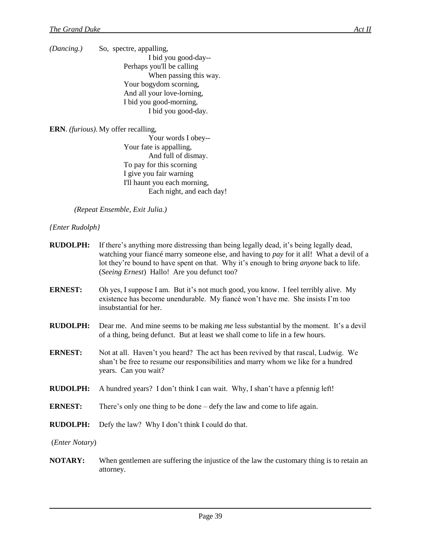*(Dancing.)* So, spectre, appalling, I bid you good-day-- Perhaps you'll be calling When passing this way. Your bogydom scorning, And all your love-lorning, I bid you good-morning, I bid you good-day.

**ERN**. *(furious)*. My offer recalling,

Your words I obey-- Your fate is appalling, And full of dismay. To pay for this scorning I give you fair warning I'll haunt you each morning, Each night, and each day!

*(Repeat Ensemble, Exit Julia.)*

#### *{Enter Rudolph}*

| <b>RUDOLPH:</b>       | If there's anything more distressing than being legally dead, it's being legally dead,<br>watching your fiance marry someone else, and having to pay for it all! What a devil of a<br>lot they're bound to have spent on that. Why it's enough to bring <i>anyone</i> back to life.<br>(Seeing Ernest) Hallo! Are you defunct too? |
|-----------------------|------------------------------------------------------------------------------------------------------------------------------------------------------------------------------------------------------------------------------------------------------------------------------------------------------------------------------------|
| <b>ERNEST:</b>        | Oh yes, I suppose I am. But it's not much good, you know. I feel terribly alive. My<br>existence has become unendurable. My fiance won't have me. She insists I'm too<br>insubstantial for her.                                                                                                                                    |
| <b>RUDOLPH:</b>       | Dear me. And mine seems to be making <i>me</i> less substantial by the moment. It's a devil<br>of a thing, being defunct. But at least we shall come to life in a few hours.                                                                                                                                                       |
| <b>ERNEST:</b>        | Not at all. Haven't you heard? The act has been revived by that rascal, Ludwig. We<br>shan't be free to resume our responsibilities and marry whom we like for a hundred<br>years. Can you wait?                                                                                                                                   |
| <b>RUDOLPH:</b>       | A hundred years? I don't think I can wait. Why, I shan't have a pfennig left!                                                                                                                                                                                                                                                      |
| <b>ERNEST:</b>        | There's only one thing to be done $-\text{defy}$ the law and come to life again.                                                                                                                                                                                                                                                   |
| <b>RUDOLPH:</b>       | Defy the law? Why I don't think I could do that.                                                                                                                                                                                                                                                                                   |
| $\sqrt{m}$ $\sqrt{m}$ |                                                                                                                                                                                                                                                                                                                                    |

(*Enter Notary*)

**NOTARY:** When gentlemen are suffering the injustice of the law the customary thing is to retain an attorney.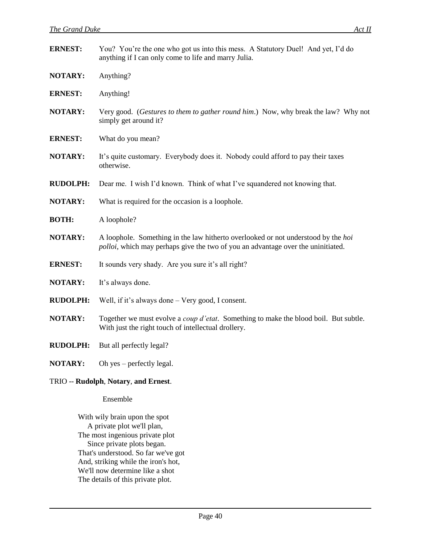| <b>ERNEST:</b>  | You? You're the one who got us into this mess. A Statutory Duel! And yet, I'd do<br>anything if I can only come to life and marry Julia.                              |
|-----------------|-----------------------------------------------------------------------------------------------------------------------------------------------------------------------|
| <b>NOTARY:</b>  | Anything?                                                                                                                                                             |
| <b>ERNEST:</b>  | Anything!                                                                                                                                                             |
| <b>NOTARY:</b>  | Very good. (Gestures to them to gather round him.) Now, why break the law? Why not<br>simply get around it?                                                           |
| <b>ERNEST:</b>  | What do you mean?                                                                                                                                                     |
| <b>NOTARY:</b>  | It's quite customary. Everybody does it. Nobody could afford to pay their taxes<br>otherwise.                                                                         |
| <b>RUDOLPH:</b> | Dear me. I wish I'd known. Think of what I've squandered not knowing that.                                                                                            |
| <b>NOTARY:</b>  | What is required for the occasion is a loophole.                                                                                                                      |
| <b>BOTH:</b>    | A loophole?                                                                                                                                                           |
| <b>NOTARY:</b>  | A loophole. Something in the law hitherto overlooked or not understood by the hoi<br>polloi, which may perhaps give the two of you an advantage over the uninitiated. |
| <b>ERNEST:</b>  | It sounds very shady. Are you sure it's all right?                                                                                                                    |
| <b>NOTARY:</b>  | It's always done.                                                                                                                                                     |
| <b>RUDOLPH:</b> | Well, if it's always done $-$ Very good, I consent.                                                                                                                   |
| <b>NOTARY:</b>  | Together we must evolve a <i>coup d'etat</i> . Something to make the blood boil. But subtle.<br>With just the right touch of intellectual drollery.                   |
| <b>RUDOLPH:</b> | But all perfectly legal?                                                                                                                                              |
| <b>NOTARY:</b>  | Oh yes $-$ perfectly legal.                                                                                                                                           |

# TRIO -- **Rudolph**, **Notary**, **and Ernest**.

## Ensemble

 With wily brain upon the spot A private plot we'll plan, The most ingenious private plot Since private plots began. That's understood. So far we've got And, striking while the iron's hot, We'll now determine like a shot The details of this private plot.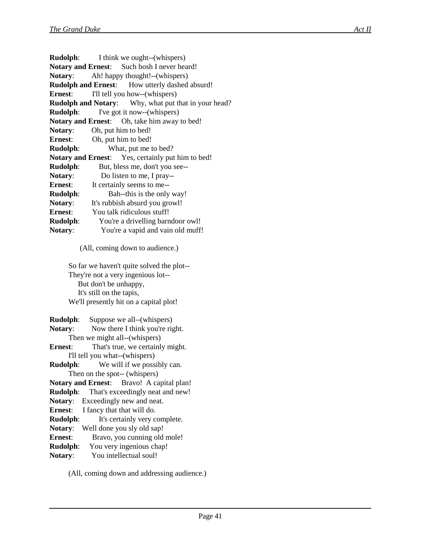|                 | <b>Rudolph:</b> I think we ought--(whispers)                |
|-----------------|-------------------------------------------------------------|
|                 | Notary and Ernest: Such bosh I never heard!                 |
|                 | <b>Notary:</b> Ah! happy thought!--(whispers)               |
|                 | <b>Rudolph and Ernest:</b> How utterly dashed absurd!       |
| Ernest:         | I'll tell you how--(whispers)                               |
|                 | <b>Rudolph and Notary:</b> Why, what put that in your head? |
|                 | <b>Rudolph:</b> I've got it now--(whispers)                 |
|                 | <b>Notary and Ernest:</b> Oh, take him away to bed!         |
|                 | <b>Notary:</b> Oh, put him to bed!                          |
|                 | <b>Ernest:</b> Oh, put him to bed!                          |
| <b>Rudolph:</b> | What, put me to bed?                                        |
|                 | <b>Notary and Ernest:</b> Yes, certainly put him to bed!    |
| <b>Rudolph:</b> | But, bless me, don't you see--                              |
| <b>Notary:</b>  | Do listen to me, I pray--                                   |
| <b>Ernest:</b>  | It certainly seems to me--                                  |
| <b>Rudolph:</b> | Bah--this is the only way!                                  |
| <b>Notary:</b>  | It's rubbish absurd you growl!                              |
| <b>Ernest:</b>  | You talk ridiculous stuff!                                  |
| <b>Rudolph:</b> | You're a drivelling barndoor owl!                           |
| <b>Notary:</b>  | You're a vapid and vain old muff!                           |
|                 |                                                             |

(All, coming down to audience.)

 So far we haven't quite solved the plot-- They're not a very ingenious lot-- But don't be unhappy, It's still on the tapis, We'll presently hit on a capital plot!

**Rudolph**: Suppose we all--(whispers) **Notary:** Now there I think you're right. Then we might all--(whispers) **Ernest**: That's true, we certainly might. I'll tell you what--(whispers) **Rudolph**: We will if we possibly can. Then on the spot-- (whispers) **Notary and Ernest**: Bravo! A capital plan! **Rudolph**: That's exceedingly neat and new! **Notary**: Exceedingly new and neat. **Ernest:** I fancy that that will do. **Rudolph**: It's certainly very complete. **Notary**: Well done you sly old sap! **Ernest:** Bravo, you cunning old mole! **Rudolph**: You very ingenious chap! **Notary**: You intellectual soul!

(All, coming down and addressing audience.)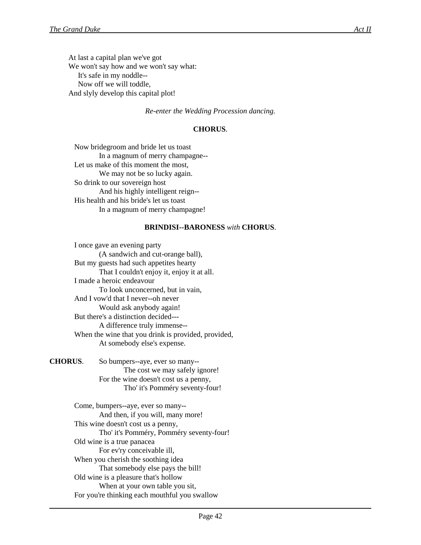*Re-enter the Wedding Procession dancing.*

#### **CHORUS**.

Now bridegroom and bride let us toast In a magnum of merry champagne-- Let us make of this moment the most, We may not be so lucky again. So drink to our sovereign host And his highly intelligent reign-- His health and his bride's let us toast In a magnum of merry champagne!

#### **BRINDISI--BARONESS** *with* **CHORUS**.

I once gave an evening party (A sandwich and cut-orange ball), But my guests had such appetites hearty That I couldn't enjoy it, enjoy it at all. I made a heroic endeavour To look unconcerned, but in vain, And I vow'd that I never--oh never Would ask anybody again! But there's a distinction decided--- A difference truly immense-- When the wine that you drink is provided, provided, At somebody else's expense.

**CHORUS**. So bumpers--aye, ever so many-- The cost we may safely ignore! For the wine doesn't cost us a penny, Tho' it's Pomméry seventy-four!

> Come, bumpers--aye, ever so many-- And then, if you will, many more! This wine doesn't cost us a penny, Tho' it's Pomméry, Pomméry seventy-four! Old wine is a true panacea For ev'ry conceivable ill, When you cherish the soothing idea That somebody else pays the bill! Old wine is a pleasure that's hollow When at your own table you sit, For you're thinking each mouthful you swallow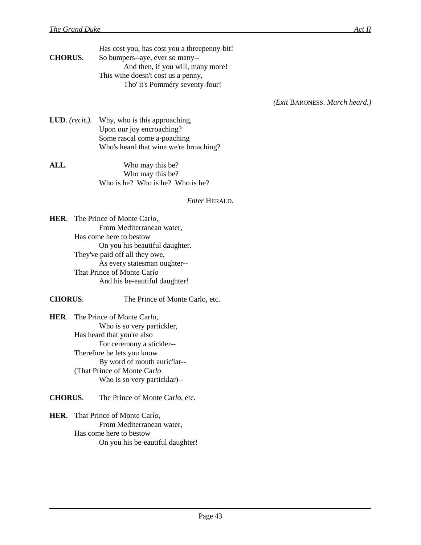Has cost you, has cost you a threepenny-bit! **CHORUS**. So bumpers--aye, ever so many-- And then, if you will, many more! This wine doesn't cost us a penny, Tho' it's Pomméry seventy-four!

*(Exit* BARONESS. *March heard.)*

**LUD**. *(recit.)*. Why, who is this approaching, Upon our joy encroaching? Some rascal come a-poaching Who's heard that wine we're broaching?

**ALL**. Who may this be? Who may this be? Who is he? Who is he? Who is he?

## *Enter* HERALD.

**HER**. The Prince of Monte Car*lo*, From Mediterranean water, Has come here to bestow On you his beautiful daughter. They've paid off all they owe, As every statesman oughter-- That Prince of Monte Car*lo* And his be-eautiful daughter!

**CHORUS**. The Prince of Monte Carlo, etc.

**HER**. The Prince of Monte Car*lo*, Who is so very partickler, Has heard that you're also For ceremony a stickler-- Therefore he lets you know By word of mouth auric'lar-- (That Prince of Monte Car*lo* Who is so very particklar)--

**CHORUS**. The Prince of Monte Car*lo*, etc.

**HER**. That Prince of Monte Car*lo*, From Mediterranean water, Has come here to bestow On you his be-eautiful daughter!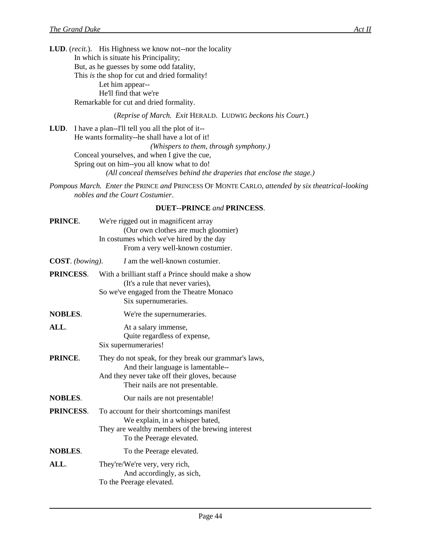**LUD**. (*recit.*). His Highness we know not--nor the locality In which is situate his Principality; But, as he guesses by some odd fatality, This *is* the shop for cut and dried formality! Let him appear-- He'll find that we're Remarkable for cut and dried formality.

(*Reprise of March. Exit* HERALD. LUDWIG *beckons his Court*.)

LUD. I have a plan--I'll tell you all the plot of it--He wants formality--he shall have a lot of it! *(Whispers to them, through symphony.)* Conceal yourselves, and when I give the cue, Spring out on him--you all know what to do! *(All conceal themselves behind the draperies that enclose the stage.)*

*Pompous March. Enter the* PRINCE *and* PRINCESS OF MONTE CARLO, *attended by six theatrical-looking nobles and the Court Costumier*.

## **DUET--PRINCE** *and* **PRINCESS**.

| PRINCE.           | We're rigged out in magnificent array<br>(Our own clothes are much gloomier)<br>In costumes which we've hired by the day<br>From a very well-known costumier.                    |
|-------------------|----------------------------------------------------------------------------------------------------------------------------------------------------------------------------------|
| $COST.$ (bowing). | I am the well-known costumier.                                                                                                                                                   |
| PRINCESS.         | With a brilliant staff a Prince should make a show<br>(It's a rule that never varies),<br>So we've engaged from the Theatre Monaco<br>Six supernumeraries.                       |
| <b>NOBLES.</b>    | We're the supernumeraries.                                                                                                                                                       |
| ALL.              | At a salary immense,<br>Quite regardless of expense,<br>Six supernumeraries!                                                                                                     |
| PRINCE.           | They do not speak, for they break our grammar's laws,<br>And their language is lamentable--<br>And they never take off their gloves, because<br>Their nails are not presentable. |
| <b>NOBLES.</b>    | Our nails are not presentable!                                                                                                                                                   |
| PRINCESS.         | To account for their shortcomings manifest<br>We explain, in a whisper bated,<br>They are wealthy members of the brewing interest<br>To the Peerage elevated.                    |
| <b>NOBLES.</b>    | To the Peerage elevated.                                                                                                                                                         |
| ALL.              | They're/We're very, very rich,<br>And accordingly, as sich,<br>To the Peerage elevated.                                                                                          |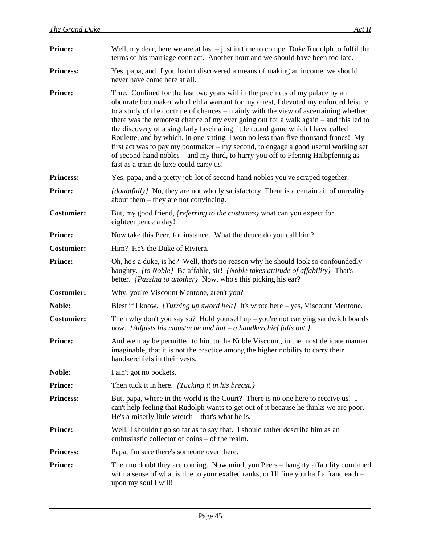| <b>Prince:</b>    | Well, my dear, here we are at last $-$ just in time to compel Duke Rudolph to fulfil the<br>terms of his marriage contract. Another hour and we should have been too late.                                                                                                                                                                                                                                                                                                                                                                                                                                                                                                                                                                          |
|-------------------|-----------------------------------------------------------------------------------------------------------------------------------------------------------------------------------------------------------------------------------------------------------------------------------------------------------------------------------------------------------------------------------------------------------------------------------------------------------------------------------------------------------------------------------------------------------------------------------------------------------------------------------------------------------------------------------------------------------------------------------------------------|
| <b>Princess:</b>  | Yes, papa, and if you hadn't discovered a means of making an income, we should<br>never have come here at all.                                                                                                                                                                                                                                                                                                                                                                                                                                                                                                                                                                                                                                      |
| <b>Prince:</b>    | True. Confined for the last two years within the precincts of my palace by an<br>obdurate bootmaker who held a warrant for my arrest, I devoted my enforced leisure<br>to a study of the doctrine of chances – mainly with the view of ascertaining whether<br>there was the remotest chance of my ever going out for a walk again - and this led to<br>the discovery of a singularly fascinating little round game which I have called<br>Roulette, and by which, in one sitting, I won no less than five thousand francs! My<br>first act was to pay my bootmaker – my second, to engage a good useful working set<br>of second-hand nobles - and my third, to hurry you off to Pfennig Halbpfennig as<br>fast as a train de luxe could carry us! |
| <b>Princess:</b>  | Yes, papa, and a pretty job-lot of second-hand nobles you've scraped together!                                                                                                                                                                                                                                                                                                                                                                                                                                                                                                                                                                                                                                                                      |
| <b>Prince:</b>    | <i>{doubtfully}</i> No, they are not wholly satisfactory. There is a certain air of unreality<br>about them $-$ they are not convincing.                                                                                                                                                                                                                                                                                                                                                                                                                                                                                                                                                                                                            |
| <b>Costumier:</b> | But, my good friend, <i>{referring to the costumes}</i> what can you expect for<br>eighteenpence a day!                                                                                                                                                                                                                                                                                                                                                                                                                                                                                                                                                                                                                                             |
| <b>Prince:</b>    | Now take this Peer, for instance. What the deuce do you call him?                                                                                                                                                                                                                                                                                                                                                                                                                                                                                                                                                                                                                                                                                   |
| <b>Costumier:</b> | Him? He's the Duke of Riviera.                                                                                                                                                                                                                                                                                                                                                                                                                                                                                                                                                                                                                                                                                                                      |
| <b>Prince:</b>    | Oh, he's a duke, is he? Well, that's no reason why he should look so confoundedly<br>haughty. {to Noble} Be affable, sir! {Noble takes attitude of affability} That's<br>better. <i>{Passing to another}</i> Now, who's this picking his ear?                                                                                                                                                                                                                                                                                                                                                                                                                                                                                                       |
| <b>Costumier:</b> | Why, you're Viscount Mentone, aren't you?                                                                                                                                                                                                                                                                                                                                                                                                                                                                                                                                                                                                                                                                                                           |
| Noble:            | Blest if I know. <i>{Turning up sword belt}</i> It's wrote here – yes, Viscount Mentone.                                                                                                                                                                                                                                                                                                                                                                                                                                                                                                                                                                                                                                                            |
| <b>Costumier:</b> | Then why don't you say so? Hold yourself $up$ – you're not carrying sandwich boards<br>now. {Adjusts his moustache and hat $-a$ handkerchief falls out.}                                                                                                                                                                                                                                                                                                                                                                                                                                                                                                                                                                                            |
| <b>Prince:</b>    | And we may be permitted to hint to the Noble Viscount, in the most delicate manner<br>imaginable, that it is not the practice among the higher nobility to carry their<br>handkerchiefs in their vests.                                                                                                                                                                                                                                                                                                                                                                                                                                                                                                                                             |
| Noble:            | I ain't got no pockets.                                                                                                                                                                                                                                                                                                                                                                                                                                                                                                                                                                                                                                                                                                                             |
| <b>Prince:</b>    | Then tuck it in here. {Tucking it in his breast.}                                                                                                                                                                                                                                                                                                                                                                                                                                                                                                                                                                                                                                                                                                   |
| <b>Princess:</b>  | But, papa, where in the world is the Court? There is no one here to receive us! I<br>can't help feeling that Rudolph wants to get out of it because he thinks we are poor.<br>He's a miserly little wretch $-$ that's what he is.                                                                                                                                                                                                                                                                                                                                                                                                                                                                                                                   |
| <b>Prince:</b>    | Well, I shouldn't go so far as to say that. I should rather describe him as an<br>enthusiastic collector of coins – of the realm.                                                                                                                                                                                                                                                                                                                                                                                                                                                                                                                                                                                                                   |
| <b>Princess:</b>  | Papa, I'm sure there's someone over there.                                                                                                                                                                                                                                                                                                                                                                                                                                                                                                                                                                                                                                                                                                          |
| <b>Prince:</b>    | Then no doubt they are coming. Now mind, you Peers - haughty affability combined<br>with a sense of what is due to your exalted ranks, or I'll fine you half a franc each -<br>upon my soul I will!                                                                                                                                                                                                                                                                                                                                                                                                                                                                                                                                                 |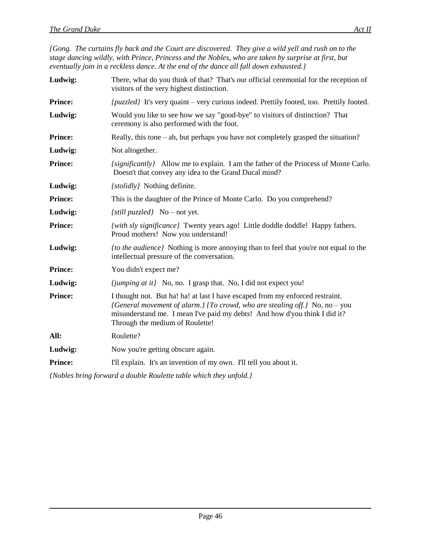*{Gong. The curtains fly back and the Court are discovered. They give a wild yell and rush on to the stage dancing wildly, with Prince, Princess and the Nobles, who are taken by surprise at first, but eventually join in a reckless dance. At the end of the dance all fall down exhausted.}*

| Ludwig:        | There, what do you think of that? That's our official ceremonial for the reception of<br>visitors of the very highest distinction.                                                                                                                                            |
|----------------|-------------------------------------------------------------------------------------------------------------------------------------------------------------------------------------------------------------------------------------------------------------------------------|
| <b>Prince:</b> | <i>{puzzled}</i> It's very quaint – very curious indeed. Prettily footed, too. Prettily footed.                                                                                                                                                                               |
| Ludwig:        | Would you like to see how we say "good-bye" to visitors of distinction? That<br>ceremony is also performed with the foot.                                                                                                                                                     |
| <b>Prince:</b> | Really, this tone – ah, but perhaps you have not completely grasped the situation?                                                                                                                                                                                            |
| Ludwig:        | Not altogether.                                                                                                                                                                                                                                                               |
| <b>Prince:</b> | <i>(significantly)</i> Allow me to explain. I am the father of the Princess of Monte Carlo.<br>Doesn't that convey any idea to the Grand Ducal mind?                                                                                                                          |
| Ludwig:        | <i>{stolidly}</i> Nothing definite.                                                                                                                                                                                                                                           |
| <b>Prince:</b> | This is the daughter of the Prince of Monte Carlo. Do you comprehend?                                                                                                                                                                                                         |
| Ludwig:        | $\{still \, puzzle\}$ No – not yet.                                                                                                                                                                                                                                           |
| <b>Prince:</b> | <i>{with sly significance}</i> Twenty years ago! Little doddle doddle! Happy fathers.<br>Proud mothers! Now you understand!                                                                                                                                                   |
| Ludwig:        | <i>(to the audience)</i> Nothing is more annoying than to feel that you're not equal to the<br>intellectual pressure of the conversation.                                                                                                                                     |
| <b>Prince:</b> | You didn't expect me?                                                                                                                                                                                                                                                         |
| Ludwig:        | $\{jumping\ at\ it\}$ No, no. I grasp that. No, I did not expect you!                                                                                                                                                                                                         |
| <b>Prince:</b> | I thought not. But ha! ha! at last I have escaped from my enforced restraint.<br>{General movement of alarm.} {To crowd, who are stealing off.} No, no – you<br>misunderstand me. I mean I've paid my debts! And how d'you think I did it?<br>Through the medium of Roulette! |
| All:           | Roulette?                                                                                                                                                                                                                                                                     |
| Ludwig:        | Now you're getting obscure again.                                                                                                                                                                                                                                             |
| <b>Prince:</b> | I'll explain. It's an invention of my own. I'll tell you about it.                                                                                                                                                                                                            |
|                | {Nobles bring forward a double Roulette table which they unfold.}                                                                                                                                                                                                             |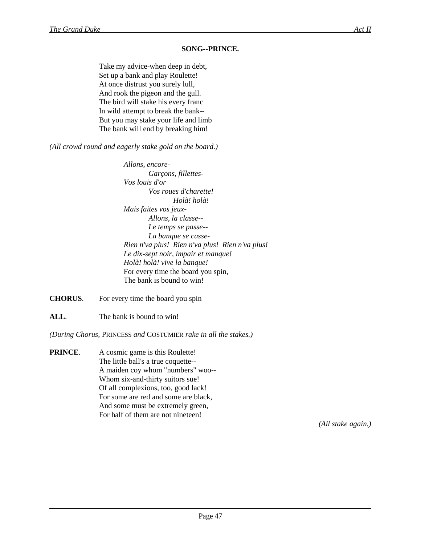Take my advice-when deep in debt, Set up a bank and play Roulette! At once distrust you surely lull, And rook the pigeon and the gull. The bird will stake his every franc In wild attempt to break the bank-- But you may stake your life and limb The bank will end by breaking him!

*(All crowd round and eagerly stake gold on the board.)*

*Allons, encore-Garçons, fillettes-Vos louis d'or Vos roues d'charette! Holà! holà! Mais faites vos jeux-Allons, la classe-- Le temps se passe-- La banque se casse-Rien n'va plus! Rien n'va plus! Rien n'va plus! Le dix-sept noir, impair et manque! Holà! holà! vive la banque!* For every time the board you spin, The bank is bound to win!

**CHORUS**. For every time the board you spin

ALL. The bank is bound to win!

*(During Chorus,* PRINCESS *and* COSTUMIER *rake in all the stakes.)*

**PRINCE.** A cosmic game is this Roulette! The little ball's a true coquette-- A maiden coy whom "numbers" woo-- Whom six-and-thirty suitors sue! Of all complexions, too, good lack! For some are red and some are black, And some must be extremely green, For half of them are not nineteen!

*(All stake again.)*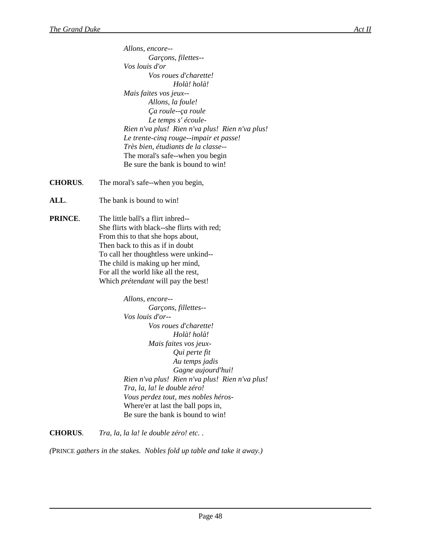*Allons, encore-- Garçons, filettes-- Vos louis d'or Vos roues d'charette! Holà! holà! Mais faites vos jeux-- Allons, la foule! Ça roule--ça roule Le temps s' écoule-Rien n'va plus! Rien n'va plus! Rien n'va plus! Le trente-cinq rouge--impair et passe! Très bien, étudiants de la classe--* The moral's safe--when you begin Be sure the bank is bound to win!

**CHORUS**. The moral's safe--when you begin,

**ALL**. The bank is bound to win!

**PRINCE.** The little ball's a flirt inbred--She flirts with black--she flirts with red; From this to that she hops about, Then back to this as if in doubt To call her thoughtless were unkind-- The child is making up her mind, For all the world like all the rest, Which *prétendant* will pay the best!

> *Allons, encore-- Garçons, fillettes-- Vos louis d'or-- Vos roues d'charette! Holà! holà! Mais faites vos jeux-Qui perte fit Au temps jadis Gagne aujourd'hui! Rien n'va plus! Rien n'va plus! Rien n'va plus! Tra, la, la! le double zéro! Vous perdez tout, mes nobles héros-*Where'er at last the ball pops in, Be sure the bank is bound to win!

**CHORUS**. *Tra, la, la la! le double zéro! etc.* .

*(*PRINCE *gathers in the stakes. Nobles fold up table and take it away.)*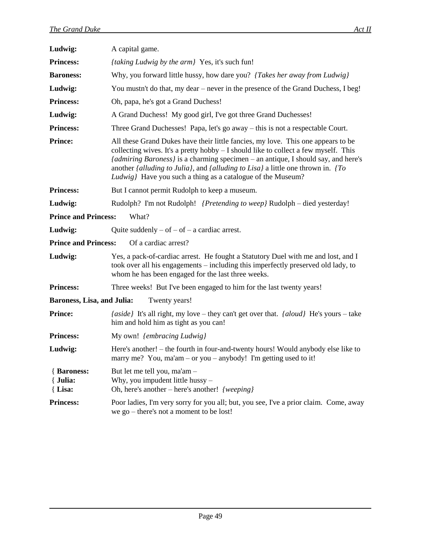| Ludwig:                                             | A capital game.                                                                                                                                                                                                                                                                                                                                                                                                                             |  |
|-----------------------------------------------------|---------------------------------------------------------------------------------------------------------------------------------------------------------------------------------------------------------------------------------------------------------------------------------------------------------------------------------------------------------------------------------------------------------------------------------------------|--|
| <b>Princess:</b>                                    | {taking Ludwig by the arm} Yes, it's such fun!                                                                                                                                                                                                                                                                                                                                                                                              |  |
| <b>Baroness:</b>                                    | Why, you forward little hussy, how dare you? {Takes her away from Ludwig}                                                                                                                                                                                                                                                                                                                                                                   |  |
| Ludwig:                                             | You mustn't do that, my dear – never in the presence of the Grand Duchess, I beg!                                                                                                                                                                                                                                                                                                                                                           |  |
| <b>Princess:</b>                                    | Oh, papa, he's got a Grand Duchess!                                                                                                                                                                                                                                                                                                                                                                                                         |  |
| Ludwig:                                             | A Grand Duchess! My good girl, I've got three Grand Duchesses!                                                                                                                                                                                                                                                                                                                                                                              |  |
| <b>Princess:</b>                                    | Three Grand Duchesses! Papa, let's go away – this is not a respectable Court.                                                                                                                                                                                                                                                                                                                                                               |  |
| <b>Prince:</b>                                      | All these Grand Dukes have their little fancies, my love. This one appears to be<br>collecting wives. It's a pretty hobby $-$ I should like to collect a few myself. This<br><i>{admiring Baroness}</i> is a charming specimen – an antique, I should say, and here's<br>another <i>{alluding to Julia}</i> , and <i>{alluding to Lisa}</i> a little one thrown in. $\{To\}$<br>Ludwig} Have you such a thing as a catalogue of the Museum? |  |
| <b>Princess:</b>                                    | But I cannot permit Rudolph to keep a museum.                                                                                                                                                                                                                                                                                                                                                                                               |  |
| Ludwig:                                             | Rudolph? I'm not Rudolph! <i>{Pretending to weep}</i> Rudolph – died yesterday!                                                                                                                                                                                                                                                                                                                                                             |  |
| <b>Prince and Princess:</b>                         | What?                                                                                                                                                                                                                                                                                                                                                                                                                                       |  |
| Ludwig:                                             | Quite suddenly $-$ of $-$ of $-$ a cardiac arrest.                                                                                                                                                                                                                                                                                                                                                                                          |  |
| <b>Prince and Princess:</b><br>Of a cardiac arrest? |                                                                                                                                                                                                                                                                                                                                                                                                                                             |  |
| Ludwig:                                             | Yes, a pack-of-cardiac arrest. He fought a Statutory Duel with me and lost, and I<br>took over all his engagements – including this imperfectly preserved old lady, to<br>whom he has been engaged for the last three weeks.                                                                                                                                                                                                                |  |
| <b>Princess:</b>                                    | Three weeks! But I've been engaged to him for the last twenty years!                                                                                                                                                                                                                                                                                                                                                                        |  |
| <b>Baroness, Lisa, and Julia:</b><br>Twenty years!  |                                                                                                                                                                                                                                                                                                                                                                                                                                             |  |
| <b>Prince:</b>                                      | <i>(aside)</i> It's all right, my love – they can't get over that. <i>{aloud}</i> He's yours – take<br>him and hold him as tight as you can!                                                                                                                                                                                                                                                                                                |  |
| <b>Princess:</b>                                    | My own! {embracing Ludwig}                                                                                                                                                                                                                                                                                                                                                                                                                  |  |
| Ludwig:                                             | Here's another! - the fourth in four-and-twenty hours! Would anybody else like to<br>marry me? You, $ma'$ am – or you – anybody! I'm getting used to it!                                                                                                                                                                                                                                                                                    |  |
| { Baroness:<br>{ Julia:<br>$\{$ Lisa:               | But let me tell you, ma'am -<br>Why, you impudent little hussy -<br>Oh, here's another - here's another! {weeping}                                                                                                                                                                                                                                                                                                                          |  |
| <b>Princess:</b>                                    | Poor ladies, I'm very sorry for you all; but, you see, I've a prior claim. Come, away<br>we go – there's not a moment to be lost!                                                                                                                                                                                                                                                                                                           |  |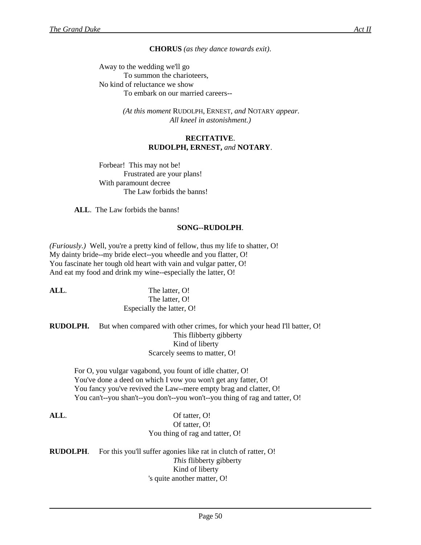**CHORUS** *(as they dance towards exit)*.

Away to the wedding we'll go To summon the charioteers, No kind of reluctance we show To embark on our married careers--

> *(At this moment* RUDOLPH, ERNEST, *and* NOTARY *appear. All kneel in astonishment.)*

#### **RECITATIVE**. **RUDOLPH, ERNEST,** *and* **NOTARY**.

Forbear! This may not be! Frustrated are your plans! With paramount decree The Law forbids the banns!

**ALL**. The Law forbids the banns!

**ALL**. The latter, O!

#### **SONG--RUDOLPH**.

*(Furiously.)* Well, you're a pretty kind of fellow, thus my life to shatter, O! My dainty bride--my bride elect--you wheedle and you flatter, O! You fascinate her tough old heart with vain and vulgar patter, O! And eat my food and drink my wine--especially the latter, O!

The latter, O! Especially the latter, O! **RUDOLPH.** But when compared with other crimes, for which your head I'll batter, O! This flibberty gibberty Kind of liberty Scarcely seems to matter, O!

For O, you vulgar vagabond, you fount of idle chatter, O! You've done a deed on which I vow you won't get any fatter, O! You fancy you've revived the Law--mere empty brag and clatter, O! You can't--you shan't--you don't--you won't--you thing of rag and tatter, O!

**ALL**. Of tatter, O! Of tatter, O! You thing of rag and tatter, O!

**RUDOLPH**. For this you'll suffer agonies like rat in clutch of ratter, O! *This* flibberty gibberty Kind of liberty 's quite another matter, O!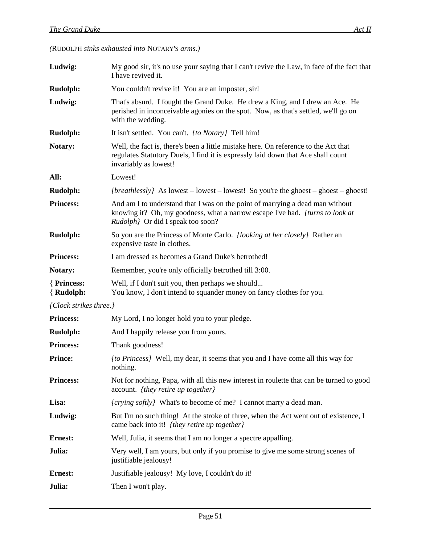| Ludwig:                   | My good sir, it's no use your saying that I can't revive the Law, in face of the fact that<br>I have revived it.                                                                                                 |
|---------------------------|------------------------------------------------------------------------------------------------------------------------------------------------------------------------------------------------------------------|
| <b>Rudolph:</b>           | You couldn't revive it! You are an imposter, sir!                                                                                                                                                                |
| Ludwig:                   | That's absurd. I fought the Grand Duke. He drew a King, and I drew an Ace. He<br>perished in inconceivable agonies on the spot. Now, as that's settled, we'll go on<br>with the wedding.                         |
| <b>Rudolph:</b>           | It isn't settled. You can't. <i>{to Notary}</i> Tell him!                                                                                                                                                        |
| Notary:                   | Well, the fact is, there's been a little mistake here. On reference to the Act that<br>regulates Statutory Duels, I find it is expressly laid down that Ace shall count<br>invariably as lowest!                 |
| All:                      | Lowest!                                                                                                                                                                                                          |
| <b>Rudolph:</b>           | <i>{breathlessly}</i> As lowest – lowest – lowest! So you're the ghoest – ghoest – ghoest!                                                                                                                       |
| <b>Princess:</b>          | And am I to understand that I was on the point of marrying a dead man without<br>knowing it? Oh, my goodness, what a narrow escape I've had. <i>{turns to look at</i><br><i>Rudolph Or</i> did I speak too soon? |
| <b>Rudolph:</b>           | So you are the Princess of Monte Carlo. <i>{looking at her closely}</i> Rather an<br>expensive taste in clothes.                                                                                                 |
| <b>Princess:</b>          | I am dressed as becomes a Grand Duke's betrothed!                                                                                                                                                                |
| Notary:                   | Remember, you're only officially betrothed till 3:00.                                                                                                                                                            |
| { Princess:<br>{ Rudolph: | Well, if I don't suit you, then perhaps we should<br>You know, I don't intend to squander money on fancy clothes for you.                                                                                        |
| {Clock strikes three.}    |                                                                                                                                                                                                                  |
| <b>Princess:</b>          | My Lord, I no longer hold you to your pledge.                                                                                                                                                                    |
| <b>Rudolph:</b>           | And I happily release you from yours.                                                                                                                                                                            |
| <b>Princess:</b>          | Thank goodness!                                                                                                                                                                                                  |
| <b>Prince:</b>            | <i>{to Princess}</i> Well, my dear, it seems that you and I have come all this way for<br>nothing.                                                                                                               |
| <b>Princess:</b>          | Not for nothing, Papa, with all this new interest in roulette that can be turned to good<br>account. {they retire up together}                                                                                   |
| Lisa:                     | <i>{crying softly}</i> What's to become of me? I cannot marry a dead man.                                                                                                                                        |
| Ludwig:                   | But I'm no such thing! At the stroke of three, when the Act went out of existence, I<br>came back into it! {they retire up together}                                                                             |
| <b>Ernest:</b>            | Well, Julia, it seems that I am no longer a spectre appalling.                                                                                                                                                   |

**Ernest:** Justifiable jealousy! My love, I couldn't do it!

**Julia:** Then I won't play.